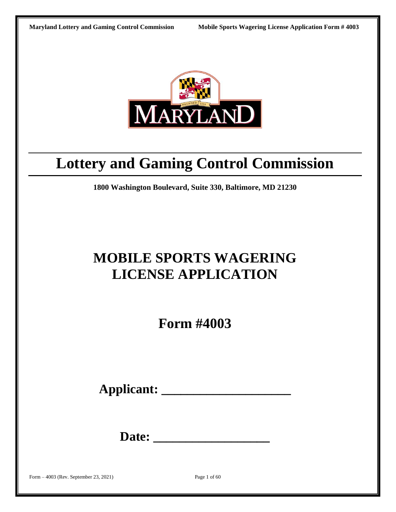

# **Lottery and Gaming Control Commission**

**1800 Washington Boulevard, Suite 330, Baltimore, MD 21230**

# **MOBILE SPORTS WAGERING LICENSE APPLICATION**

**Form #4003** 

**Applicant: \_\_\_\_\_\_\_\_\_\_\_\_\_\_\_\_\_\_\_\_**

**Date: \_\_\_\_\_\_\_\_\_\_\_\_\_\_\_\_\_\_**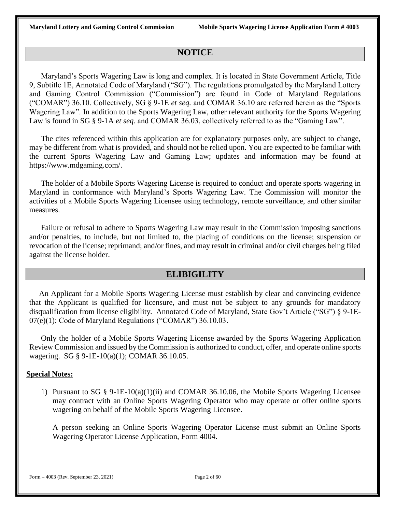## **NOTICE**

Maryland's Sports Wagering Law is long and complex. It is located in State Government Article, Title 9, Subtitle 1E, Annotated Code of Maryland ("SG"). The regulations promulgated by the Maryland Lottery and Gaming Control Commission ("Commission") are found in Code of Maryland Regulations ("COMAR") 36.10. Collectively, SG § 9-1E *et seq.* and COMAR 36.10 are referred herein as the "Sports Wagering Law". In addition to the Sports Wagering Law, other relevant authority for the Sports Wagering Law is found in SG § 9-1A *et seq.* and COMAR 36.03, collectively referred to as the "Gaming Law".

The cites referenced within this application are for explanatory purposes only, are subject to change, may be different from what is provided, and should not be relied upon. You are expected to be familiar with the current Sports Wagering Law and Gaming Law; updates and information may be found at https://www.mdgaming.com/.

The holder of a Mobile Sports Wagering License is required to conduct and operate sports wagering in Maryland in conformance with Maryland's Sports Wagering Law. The Commission will monitor the activities of a Mobile Sports Wagering Licensee using technology, remote surveillance, and other similar measures.

Failure or refusal to adhere to Sports Wagering Law may result in the Commission imposing sanctions and/or penalties, to include, but not limited to, the placing of conditions on the license; suspension or revocation of the license; reprimand; and/or fines, and may result in criminal and/or civil charges being filed against the license holder.

## **ELIBIGILITY**

 An Applicant for a Mobile Sports Wagering License must establish by clear and convincing evidence that the Applicant is qualified for licensure, and must not be subject to any grounds for mandatory disqualification from license eligibility. Annotated Code of Maryland, State Gov't Article ("SG") § 9-1E-07(e)(1); Code of Maryland Regulations ("COMAR") 36.10.03.

Only the holder of a Mobile Sports Wagering License awarded by the Sports Wagering Application Review Commission and issued by the Commission is authorized to conduct, offer, and operate online sports wagering. SG § 9-1E-10(a)(1); COMAR 36.10.05.

### **Special Notes:**

1) Pursuant to SG § 9-1E-10(a)(1)(ii) and COMAR 36.10.06, the Mobile Sports Wagering Licensee may contract with an Online Sports Wagering Operator who may operate or offer online sports wagering on behalf of the Mobile Sports Wagering Licensee.

A person seeking an Online Sports Wagering Operator License must submit an Online Sports Wagering Operator License Application, Form 4004.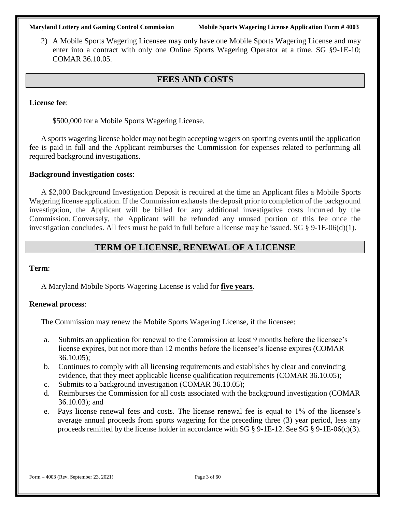2) A Mobile Sports Wagering Licensee may only have one Mobile Sports Wagering License and may enter into a contract with only one Online Sports Wagering Operator at a time. SG §9-1E-10; COMAR 36.10.05.

## **FEES AND COSTS**

### **License fee**:

\$500,000 for a Mobile Sports Wagering License.

A sports wagering license holder may not begin accepting wagers on sporting events until the application fee is paid in full and the Applicant reimburses the Commission for expenses related to performing all required background investigations.

### **Background investigation costs**:

A \$2,000 Background Investigation Deposit is required at the time an Applicant files a Mobile Sports Wagering license application. If the Commission exhausts the deposit prior to completion of the background investigation, the Applicant will be billed for any additional investigative costs incurred by the Commission. Conversely, the Applicant will be refunded any unused portion of this fee once the investigation concludes. All fees must be paid in full before a license may be issued. SG § 9-1E-06(d)(1).

## **TERM OF LICENSE, RENEWAL OF A LICENSE**

### **Term**:

A Maryland Mobile Sports Wagering License is valid for **five years**.

### **Renewal process**:

The Commission may renew the Mobile Sports Wagering License, if the licensee:

- a. Submits an application for renewal to the Commission at least 9 months before the licensee's license expires, but not more than 12 months before the licensee's license expires (COMAR 36.10.05);
- b. Continues to comply with all licensing requirements and establishes by clear and convincing evidence, that they meet applicable license qualification requirements (COMAR 36.10.05);
- c. Submits to a background investigation (COMAR 36.10.05);
- d. Reimburses the Commission for all costs associated with the background investigation (COMAR 36.10.03); and
- e. Pays license renewal fees and costs. The license renewal fee is equal to 1% of the licensee's average annual proceeds from sports wagering for the preceding three (3) year period, less any proceeds remitted by the license holder in accordance with SG § 9-1E-12. See SG § 9-1E-06(c)(3).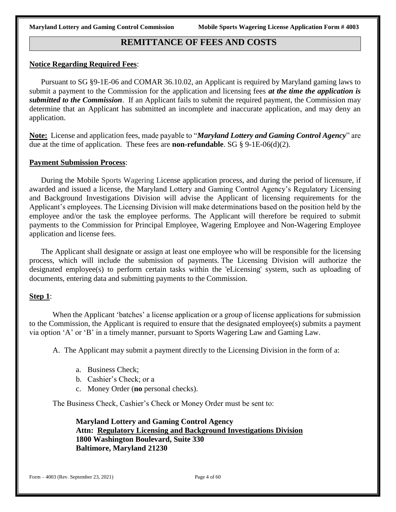## **REMITTANCE OF FEES AND COSTS**

### **Notice Regarding Required Fees**:

Pursuant to SG §9-1E-06 and COMAR 36.10.02, an Applicant is required by Maryland gaming laws to submit a payment to the Commission for the application and licensing fees *at the time the application is submitted to the Commission*. If an Applicant fails to submit the required payment, the Commission may determine that an Applicant has submitted an incomplete and inaccurate application, and may deny an application.

**Note:** License and application fees, made payable to "*Maryland Lottery and Gaming Control Agency*" are due at the time of application. These fees are **non-refundable**. SG § 9-1E-06(d)(2).

### **Payment Submission Process**:

During the Mobile Sports Wagering License application process, and during the period of licensure, if awarded and issued a license, the Maryland Lottery and Gaming Control Agency's Regulatory Licensing and Background Investigations Division will advise the Applicant of licensing requirements for the Applicant's employees. The Licensing Division will make determinations based on the position held by the employee and/or the task the employee performs. The Applicant will therefore be required to submit payments to the Commission for Principal Employee, Wagering Employee and Non-Wagering Employee application and license fees.

The Applicant shall designate or assign at least one employee who will be responsible for the licensing process, which will include the submission of payments. The Licensing Division will authorize the designated employee(s) to perform certain tasks within the 'eLicensing' system, such as uploading of documents, entering data and submitting payments to the Commission.

### **Step 1**:

When the Applicant 'batches' a license application or a group of license applications for submission to the Commission, the Applicant is required to ensure that the designated employee(s) submits a payment via option 'A' or 'B' in a timely manner, pursuant to Sports Wagering Law and Gaming Law.

A. The Applicant may submit a payment directly to the Licensing Division in the form of a:

- a. Business Check;
- b. Cashier's Check; or a
- c. Money Order (**no** personal checks).

The Business Check, Cashier's Check or Money Order must be sent to:

**Maryland Lottery and Gaming Control Agency Attn: Regulatory Licensing and Background Investigations Division 1800 Washington Boulevard, Suite 330 Baltimore, Maryland 21230**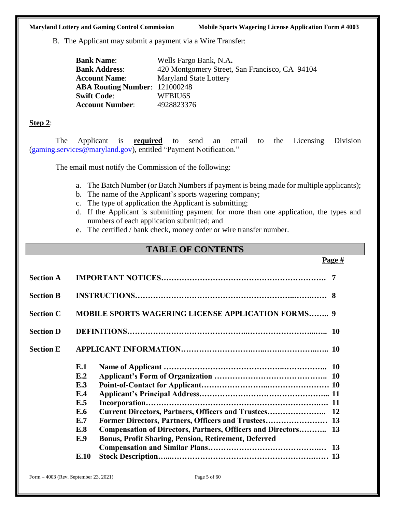B. The Applicant may submit a payment via a Wire Transfer:

| <b>Bank Name:</b>                    | Wells Fargo Bank, N.A.                         |
|--------------------------------------|------------------------------------------------|
| <b>Bank Address:</b>                 | 420 Montgomery Street, San Francisco, CA 94104 |
| <b>Account Name:</b>                 | <b>Maryland State Lottery</b>                  |
| <b>ABA Routing Number: 121000248</b> |                                                |
| <b>Swift Code:</b>                   | WFBIU6S                                        |
| <b>Account Number:</b>               | 4928823376                                     |

### **Step 2**:

The Applicant is **required** to send an email to the Licensing Division [\(gaming.services@maryland.gov\)](mailto:gaming.services@maryland.gov), entitled "Payment Notification."

The email must notify the Commission of the following:

- a. The Batch Number (or Batch Numbers if payment is being made for multiple applicants);
- b. The name of the Applicant's sports wagering company;
- c. The type of application the Applicant is submitting;
- d. If the Applicant is submitting payment for more than one application, the types and numbers of each application submitted; and
- e. The certified / bank check, money order or wire transfer number.

## **TABLE OF CONTENTS**

|                  |                                                                                                                                                                                                             | Page # |
|------------------|-------------------------------------------------------------------------------------------------------------------------------------------------------------------------------------------------------------|--------|
| <b>Section A</b> |                                                                                                                                                                                                             |        |
| <b>Section B</b> |                                                                                                                                                                                                             |        |
| <b>Section C</b> | <b>MOBILE SPORTS WAGERING LICENSE APPLICATION FORMS 9</b>                                                                                                                                                   |        |
| <b>Section D</b> |                                                                                                                                                                                                             |        |
| <b>Section E</b> |                                                                                                                                                                                                             |        |
|                  | E.1<br>E.2<br>E.3<br>E.4<br>E.5<br>E.6<br>E.7<br>E.8<br>Compensation of Directors, Partners, Officers and Directors 13<br><b>Bonus, Profit Sharing, Pension, Retirement, Deferred</b><br>E.9<br><b>E.10</b> |        |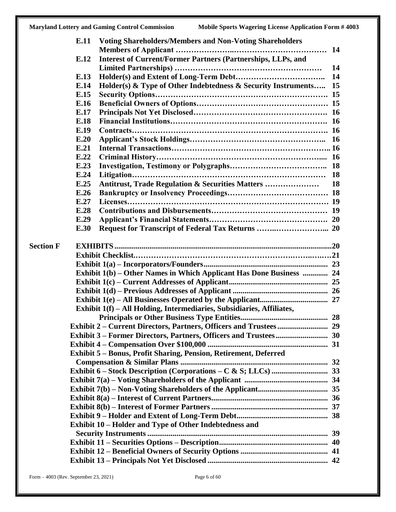|                  | E.11<br><b>Voting Shareholders/Members and Non-Voting Shareholders</b>            |  |
|------------------|-----------------------------------------------------------------------------------|--|
|                  | 14                                                                                |  |
|                  | <b>Interest of Current/Former Partners (Partnerships, LLPs, and</b><br>E.12       |  |
|                  | 14                                                                                |  |
|                  | 14<br>E.13                                                                        |  |
|                  | Holder(s) & Type of Other Indebtedness & Security Instruments 15<br>E.14          |  |
|                  | E.15                                                                              |  |
|                  | E.16                                                                              |  |
|                  | E.17                                                                              |  |
|                  | E.18                                                                              |  |
|                  | E.19                                                                              |  |
|                  | E.20                                                                              |  |
|                  | E.21                                                                              |  |
|                  | E.22                                                                              |  |
|                  | E.23<br>E.24                                                                      |  |
|                  | E.25                                                                              |  |
|                  | <b>Antitrust, Trade Regulation &amp; Securities Matters </b><br><b>18</b><br>E.26 |  |
|                  | E.27                                                                              |  |
|                  | E.28                                                                              |  |
|                  | E.29                                                                              |  |
|                  | E.30                                                                              |  |
|                  |                                                                                   |  |
| <b>Section F</b> |                                                                                   |  |
|                  |                                                                                   |  |
|                  |                                                                                   |  |
|                  | Exhibit 1(b) – Other Names in Which Applicant Has Done Business  24               |  |
|                  |                                                                                   |  |
|                  |                                                                                   |  |
|                  |                                                                                   |  |
|                  | Exhibit 1(f) - All Holding, Intermediaries, Subsidiaries, Affiliates,             |  |
|                  |                                                                                   |  |
|                  |                                                                                   |  |
|                  |                                                                                   |  |
|                  |                                                                                   |  |
|                  | Exhibit 5 - Bonus, Profit Sharing, Pension, Retirement, Deferred                  |  |
|                  |                                                                                   |  |
|                  |                                                                                   |  |
|                  |                                                                                   |  |
|                  |                                                                                   |  |
|                  |                                                                                   |  |
|                  |                                                                                   |  |
|                  |                                                                                   |  |
|                  | Exhibit 10 – Holder and Type of Other Indebtedness and                            |  |
|                  |                                                                                   |  |
|                  |                                                                                   |  |
|                  |                                                                                   |  |
|                  |                                                                                   |  |
|                  |                                                                                   |  |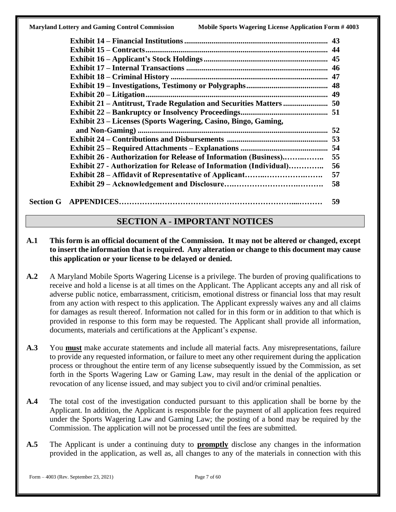| Exhibit 23 – Licenses (Sports Wagering, Casino, Bingo, Gaming,            |    |
|---------------------------------------------------------------------------|----|
|                                                                           |    |
|                                                                           |    |
|                                                                           |    |
|                                                                           |    |
| <b>Exhibit 27 - Authorization for Release of Information (Individual)</b> | 56 |
|                                                                           |    |
|                                                                           | 58 |
|                                                                           | 59 |

## **SECTION A - IMPORTANT NOTICES**

### **A.1 This form is an official document of the Commission. It may not be altered or changed, except to insert the information that is required. Any alteration or change to this document may cause this application or your license to be delayed or denied.**

- **A.2** A Maryland Mobile Sports Wagering License is a privilege. The burden of proving qualifications to receive and hold a license is at all times on the Applicant. The Applicant accepts any and all risk of adverse public notice, embarrassment, criticism, emotional distress or financial loss that may result from any action with respect to this application. The Applicant expressly waives any and all claims for damages as result thereof. Information not called for in this form or in addition to that which is provided in response to this form may be requested. The Applicant shall provide all information, documents, materials and certifications at the Applicant's expense.
- **A.3** You **must** make accurate statements and include all material facts. Any misrepresentations, failure to provide any requested information, or failure to meet any other requirement during the application process or throughout the entire term of any license subsequently issued by the Commission, as set forth in the Sports Wagering Law or Gaming Law, may result in the denial of the application or revocation of any license issued, and may subject you to civil and/or criminal penalties.
- **A.4** The total cost of the investigation conducted pursuant to this application shall be borne by the Applicant. In addition, the Applicant is responsible for the payment of all application fees required under the Sports Wagering Law and Gaming Law; the posting of a bond may be required by the Commission. The application will not be processed until the fees are submitted.
- **A.5** The Applicant is under a continuing duty to **promptly** disclose any changes in the information provided in the application, as well as, all changes to any of the materials in connection with this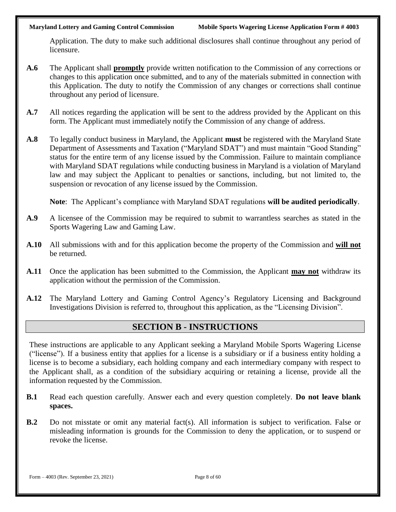Application. The duty to make such additional disclosures shall continue throughout any period of licensure.

- **A.6** The Applicant shall **promptly** provide written notification to the Commission of any corrections or changes to this application once submitted, and to any of the materials submitted in connection with this Application. The duty to notify the Commission of any changes or corrections shall continue throughout any period of licensure.
- **A.7** All notices regarding the application will be sent to the address provided by the Applicant on this form. The Applicant must immediately notify the Commission of any change of address.
- **A.8** To legally conduct business in Maryland, the Applicant **must** be registered with the Maryland State Department of Assessments and Taxation ("Maryland SDAT") and must maintain "Good Standing" status for the entire term of any license issued by the Commission. Failure to maintain compliance with Maryland SDAT regulations while conducting business in Maryland is a violation of Maryland law and may subject the Applicant to penalties or sanctions, including, but not limited to, the suspension or revocation of any license issued by the Commission.

**Note**: The Applicant's compliance with Maryland SDAT regulations **will be audited periodically**.

- **A.9** A licensee of the Commission may be required to submit to warrantless searches as stated in the Sports Wagering Law and Gaming Law.
- **A.10** All submissions with and for this application become the property of the Commission and **will not** be returned.
- **A.11** Once the application has been submitted to the Commission, the Applicant **may not** withdraw its application without the permission of the Commission.
- **A.12** The Maryland Lottery and Gaming Control Agency's Regulatory Licensing and Background Investigations Division is referred to, throughout this application, as the "Licensing Division".

## **SECTION B - INSTRUCTIONS**

These instructions are applicable to any Applicant seeking a Maryland Mobile Sports Wagering License ("license"). If a business entity that applies for a license is a subsidiary or if a business entity holding a license is to become a subsidiary, each holding company and each intermediary company with respect to the Applicant shall, as a condition of the subsidiary acquiring or retaining a license, provide all the information requested by the Commission.

- **B.1** Read each question carefully. Answer each and every question completely. **Do not leave blank spaces.**
- **B.2** Do not misstate or omit any material fact(s). All information is subject to verification. False or misleading information is grounds for the Commission to deny the application, or to suspend or revoke the license.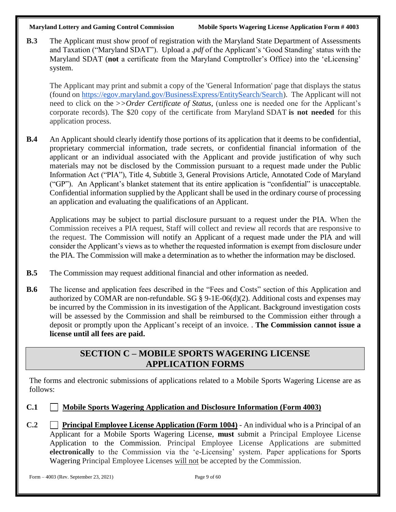**B.3** The Applicant must show proof of registration with the Maryland State Department of Assessments and Taxation ("Maryland SDAT"). Upload a .*pdf* of the Applicant's 'Good Standing' status with the Maryland SDAT (**not** a certificate from the Maryland Comptroller's Office) into the 'eLicensing' system.

The Applicant may print and submit a copy of the 'General Information' page that displays the status (found on [https://egov.maryland.gov/BusinessExpress/EntitySearch/Search\)](https://egov.maryland.gov/BusinessExpress/EntitySearch/Search). The Applicant will not need to click on the *>>Order Certificate of Status*, (unless one is needed one for the Applicant's corporate records). The \$20 copy of the certificate from Maryland SDAT **is not needed** for this application process.

**B.4** An Applicant should clearly identify those portions of its application that it deems to be confidential, proprietary commercial information, trade secrets, or confidential financial information of the applicant or an individual associated with the Applicant and provide justification of why such materials may not be disclosed by the Commission pursuant to a request made under the Public Information Act ("PIA"), Title 4, Subtitle 3, General Provisions Article, Annotated Code of Maryland ("GP"). An Applicant's blanket statement that its entire application is "confidential" is unacceptable. Confidential information supplied by the Applicant shall be used in the ordinary course of processing an application and evaluating the qualifications of an Applicant.

Applications may be subject to partial disclosure pursuant to a request under the PIA. When the Commission receives a PIA request, Staff will collect and review all records that are responsive to the request. The Commission will notify an Applicant of a request made under the PIA and will consider the Applicant's views as to whether the requested information is exempt from disclosure under the PIA. The Commission will make a determination as to whether the information may be disclosed.

- **B.5** The Commission may request additional financial and other information as needed.
- **B.6** The license and application fees described in the "Fees and Costs" section of this Application and authorized by COMAR are non-refundable. SG § 9-1E-06(d)(2). Additional costs and expenses may be incurred by the Commission in its investigation of the Applicant. Background investigation costs will be assessed by the Commission and shall be reimbursed to the Commission either through a deposit or promptly upon the Applicant's receipt of an invoice. . **The Commission cannot issue a license until all fees are paid.**

## **SECTION C – MOBILE SPORTS WAGERING LICENSE APPLICATION FORMS**

The forms and electronic submissions of applications related to a Mobile Sports Wagering License are as follows:

## **C.1 Mobile Sports Wagering Application and Disclosure Information (Form 4003)**

**C.2 Principal Employee License Application (Form 1004)** - An individual who is a Principal of an Applicant for a Mobile Sports Wagering License, **must** submit a Principal Employee License Application to the Commission. Principal Employee License Applications are submitted **electronically** to the Commission via the 'e-Licensing' system. Paper applications for Sports Wagering Principal Employee Licenses will not be accepted by the Commission.

Form – 4003 (Rev. September 23, 2021) Page 9 of 60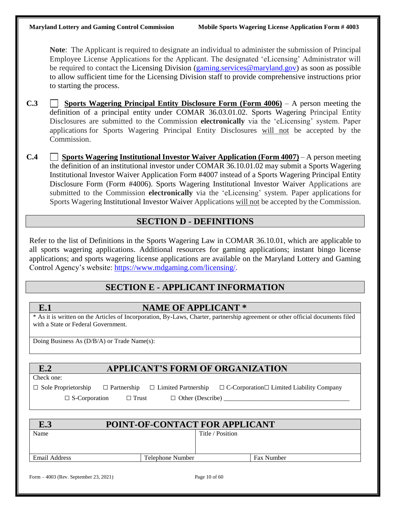**Note**: The Applicant is required to designate an individual to administer the submission of Principal Employee License Applications for the Applicant. The designated 'eLicensing' Administrator will be required to contact the Licensing Division [\(gaming.services@maryland.gov\)](mailto:gaming.services@maryland.gov) as soon as possible to allow sufficient time for the Licensing Division staff to provide comprehensive instructions prior to starting the process.

- **C.3 Sports Wagering Principal Entity Disclosure Form (Form 4006)** A person meeting the definition of a principal entity under COMAR 36.03.01.02. Sports Wagering Principal Entity Disclosures are submitted to the Commission **electronically** via the 'eLicensing' system. Paper applications for Sports Wagering Principal Entity Disclosures will not be accepted by the Commission.
- **C.4 Sports Wagering Institutional Investor Waiver Application (Form 4007)** A person meeting the definition of an institutional investor under COMAR 36.10.01.02 may submit a Sports Wagering Institutional Investor Waiver Application Form #4007 instead of a Sports Wagering Principal Entity Disclosure Form (Form #4006). Sports Wagering Institutional Investor Waiver Applications are submitted to the Commission **electronically** via the 'eLicensing' system. Paper applications for Sports Wagering Institutional Investor Waiver Applications will not be accepted by the Commission.

## **SECTION D - DEFINITIONS**

Refer to the list of Definitions in the Sports Wagering Law in COMAR 36.10.01, which are applicable to all sports wagering applications. Additional resources for gaming applications; instant bingo license applications; and sports wagering license applications are available on the Maryland Lottery and Gaming Control Agency's website: [https://www.mdgaming.com/licensing/.](https://www.mdgaming.com/licensing/)

## **SECTION E - APPLICANT INFORMATION**

## **E.1 NAME OF APPLICANT \***

\* As it is written on the Articles of Incorporation, By-Laws, Charter, partnership agreement or other official documents filed with a State or Federal Government.

Doing Business As (D/B/A) or Trade Name(s):

## **E.2 APPLICANT'S FORM OF ORGANIZATION**

□ Sole Proprietorship □ Partnership □ Limited Partnership □ C-Corporation□ Limited Liability Company

| $\Box$ S-Corporation | $\Box$ Trust | $\Box$ Other (Describe) |
|----------------------|--------------|-------------------------|

| E.3           | POINT-OF-CONTACT FOR APPLICANT |                  |  |
|---------------|--------------------------------|------------------|--|
| Name          |                                | Title / Position |  |
| Email Address | Telephone Number               | Fax Number       |  |
|               |                                |                  |  |

Form – 4003 (Rev. September 23, 2021) Page 10 of 60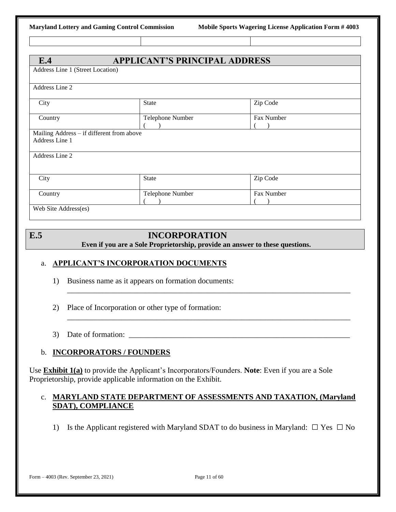Fax Number  $\rightarrow$ 

## **E.4** APPLICANT'S PRINCIPAL ADDRESS

| Address Line 1 (Street Location)          |                  |            |
|-------------------------------------------|------------------|------------|
| Address Line 2                            |                  |            |
| City                                      | <b>State</b>     | Zip Code   |
| Country                                   | Telephone Number | Fax Number |
| Mailing Address - if different from above |                  |            |
| Address Line 1                            |                  |            |
| Address Line 2                            |                  |            |
|                                           |                  |            |
| City                                      | <b>State</b>     | Zip Code   |

Country Telephone Number  $\lambda$ Web Site Address(es)

## **E.5 INCORPORATION**

**Even if you are a Sole Proprietorship, provide an answer to these questions.**

\_\_\_\_\_\_\_\_\_\_\_\_\_\_\_\_\_\_\_\_\_\_\_\_\_\_\_\_\_\_\_\_\_\_\_\_\_\_\_\_\_\_\_\_\_\_\_\_\_\_\_\_\_\_\_\_\_\_\_\_\_\_\_\_\_\_\_\_\_\_\_\_\_

\_\_\_\_\_\_\_\_\_\_\_\_\_\_\_\_\_\_\_\_\_\_\_\_\_\_\_\_\_\_\_\_\_\_\_\_\_\_\_\_\_\_\_\_\_\_\_\_\_\_\_\_\_\_\_\_\_\_\_\_\_\_\_\_\_\_\_\_\_\_\_\_\_

### a. **APPLICANT'S INCORPORATION DOCUMENTS**

1) Business name as it appears on formation documents:

2) Place of Incorporation or other type of formation:

3) Date of formation:

### b. **INCORPORATORS / FOUNDERS**

Use **Exhibit 1(a)** to provide the Applicant's Incorporators/Founders. **Note**: Even if you are a Sole Proprietorship, provide applicable information on the Exhibit.

### c. **MARYLAND STATE DEPARTMENT OF ASSESSMENTS AND TAXATION, (Maryland SDAT), COMPLIANCE**

1) Is the Applicant registered with Maryland SDAT to do business in Maryland:  $\Box$  Yes  $\Box$  No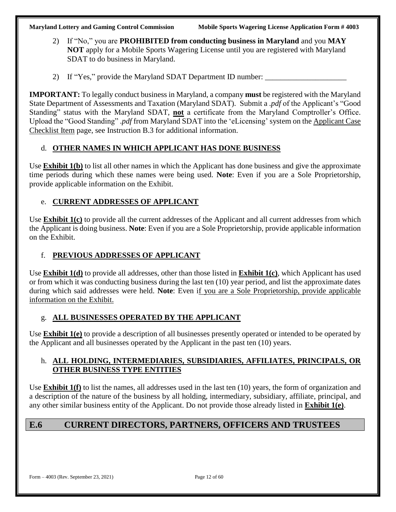- 2) If "No," you are **PROHIBITED from conducting business in Maryland** and you **MAY NOT** apply for a Mobile Sports Wagering License until you are registered with Maryland SDAT to do business in Maryland.
- 2) If "Yes," provide the Maryland SDAT Department ID number:

**IMPORTANT:** To legally conduct business in Maryland, a company **must** be registered with the Maryland State Department of Assessments and Taxation (Maryland SDAT). Submit a .*pdf* of the Applicant's "Good Standing" status with the Maryland SDAT, **not** a certificate from the Maryland Comptroller's Office. Upload the "Good Standing" .*pdf* from Maryland SDAT into the 'eLicensing' system on the Applicant Case Checklist Item page, see Instruction B.3 for additional information.

## d. **OTHER NAMES IN WHICH APPLICANT HAS DONE BUSINESS**

Use **Exhibit 1(b)** to list all other names in which the Applicant has done business and give the approximate time periods during which these names were being used. **Note**: Even if you are a Sole Proprietorship, provide applicable information on the Exhibit.

## e. **CURRENT ADDRESSES OF APPLICANT**

Use **Exhibit 1(c)** to provide all the current addresses of the Applicant and all current addresses from which the Applicant is doing business. **Note**: Even if you are a Sole Proprietorship, provide applicable information on the Exhibit.

## f. **PREVIOUS ADDRESSES OF APPLICANT**

Use **Exhibit 1(d)** to provide all addresses, other than those listed in **Exhibit 1(c)**, which Applicant has used or from which it was conducting business during the last ten (10) year period, and list the approximate dates during which said addresses were held. **Note**: Even if you are a Sole Proprietorship, provide applicable information on the Exhibit.

## g. **ALL BUSINESSES OPERATED BY THE APPLICANT**

Use **Exhibit 1(e)** to provide a description of all businesses presently operated or intended to be operated by the Applicant and all businesses operated by the Applicant in the past ten (10) years.

## h. **ALL HOLDING, INTERMEDIARIES, SUBSIDIARIES, AFFILIATES, PRINCIPALS, OR OTHER BUSINESS TYPE ENTITIES**

Use **Exhibit 1(f)** to list the names, all addresses used in the last ten (10) years, the form of organization and a description of the nature of the business by all holding, intermediary, subsidiary, affiliate, principal, and any other similar business entity of the Applicant. Do not provide those already listed in **Exhibit 1(e)**.

## **E.6 CURRENT DIRECTORS, PARTNERS, OFFICERS AND TRUSTEES**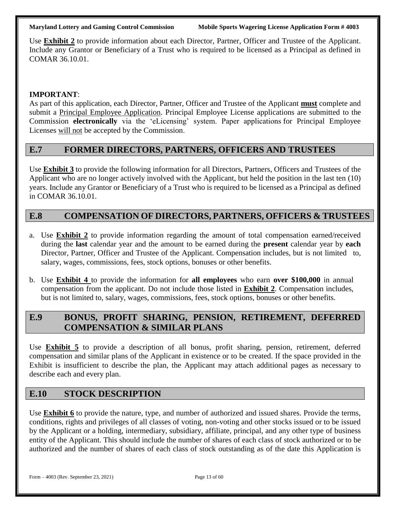Use **Exhibit 2** to provide information about each Director, Partner, Officer and Trustee of the Applicant. Include any Grantor or Beneficiary of a Trust who is required to be licensed as a Principal as defined in COMAR 36.10.01.

### **IMPORTANT**:

As part of this application, each Director, Partner, Officer and Trustee of the Applicant **must** complete and submit a Principal Employee Application. Principal Employee License applications are submitted to the Commission **electronically** via the 'eLicensing' system. Paper applications for Principal Employee Licenses will not be accepted by the Commission.

## **E.7 FORMER DIRECTORS, PARTNERS, OFFICERS AND TRUSTEES**

Use **Exhibit 3** to provide the following information for all Directors, Partners, Officers and Trustees of the Applicant who are no longer actively involved with the Applicant, but held the position in the last ten (10) years. Include any Grantor or Beneficiary of a Trust who is required to be licensed as a Principal as defined in COMAR 36.10.01.

## **E.8 COMPENSATION OF DIRECTORS, PARTNERS, OFFICERS & TRUSTEES**

- a. Use **Exhibit 2** to provide information regarding the amount of total compensation earned/received during the **last** calendar year and the amount to be earned during the **present** calendar year by **each** Director, Partner, Officer and Trustee of the Applicant. Compensation includes, but is not limited to, salary, wages, commissions, fees, stock options, bonuses or other benefits.
- b. Use **Exhibit 4** to provide the information for **all employees** who earn **over \$100,000** in annual compensation from the applicant. Do not include those listed in **Exhibit 2**. Compensation includes, but is not limited to, salary, wages, commissions, fees, stock options, bonuses or other benefits.

## **E.9 BONUS, PROFIT SHARING, PENSION, RETIREMENT, DEFERRED COMPENSATION & SIMILAR PLANS**

Use **Exhibit 5** to provide a description of all bonus, profit sharing, pension, retirement, deferred compensation and similar plans of the Applicant in existence or to be created. If the space provided in the Exhibit is insufficient to describe the plan, the Applicant may attach additional pages as necessary to describe each and every plan.

## **E.10 STOCK DESCRIPTION**

Use **Exhibit 6** to provide the nature, type, and number of authorized and issued shares. Provide the terms, conditions, rights and privileges of all classes of voting, non-voting and other stocks issued or to be issued by the Applicant or a holding, intermediary, subsidiary, affiliate, principal, and any other type of business entity of the Applicant. This should include the number of shares of each class of stock authorized or to be authorized and the number of shares of each class of stock outstanding as of the date this Application is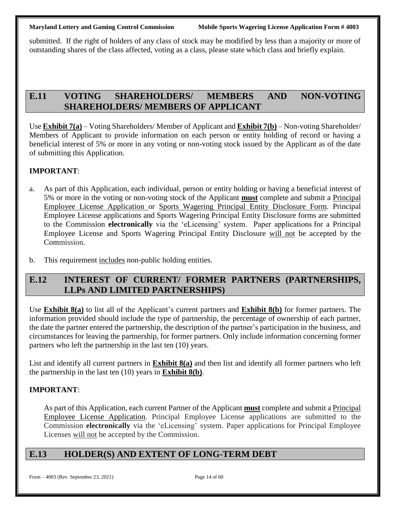submitted. If the right of holders of any class of stock may be modified by less than a majority or more of outstanding shares of the class affected, voting as a class, please state which class and briefly explain.

## **E.11 VOTING SHAREHOLDERS/ MEMBERS AND NON-VOTING SHAREHOLDERS/ MEMBERS OF APPLICANT**

Use **Exhibit 7(a)** – Voting Shareholders/ Member of Applicant and **Exhibit 7(b)** – Non-voting Shareholder/ Members of Applicant to provide information on each person or entity holding of record or having a beneficial interest of 5% or more in any voting or non-voting stock issued by the Applicant as of the date of submitting this Application.

### **IMPORTANT**:

- a. As part of this Application, each individual, person or entity holding or having a beneficial interest of 5% or more in the voting or non-voting stock of the Applicant **must** complete and submit a Principal Employee License Application or Sports Wagering Principal Entity Disclosure Form. Principal Employee License applications and Sports Wagering Principal Entity Disclosure forms are submitted to the Commission **electronically** via the 'eLicensing' system. Paper applications for a Principal Employee License and Sports Wagering Principal Entity Disclosure will not be accepted by the Commission.
- b. This requirement includes non-public holding entities.

## **E.12 INTEREST OF CURRENT/ FORMER PARTNERS (PARTNERSHIPS, LLPs AND LIMITED PARTNERSHIPS)**

Use **Exhibit 8(a)** to list all of the Applicant's current partners and **Exhibit 8(b)** for former partners. The information provided should include the type of partnership, the percentage of ownership of each partner, the date the partner entered the partnership, the description of the partner's participation in the business, and circumstances for leaving the partnership, for former partners. Only include information concerning former partners who left the partnership in the last ten (10) years.

List and identify all current partners in **Exhibit 8(a)** and then list and identify all former partners who left the partnership in the last ten (10) years in **Exhibit 8(b)**.

### **IMPORTANT**:

As part of this Application, each current Partner of the Applicant **must** complete and submit a Principal Employee License Application. Principal Employee License applications are submitted to the Commission **electronically** via the 'eLicensing' system. Paper applications for Principal Employee Licenses will not be accepted by the Commission.

## **E.13 HOLDER(S) AND EXTENT OF LONG-TERM DEBT**

Form – 4003 (Rev. September 23, 2021) Page 14 of 60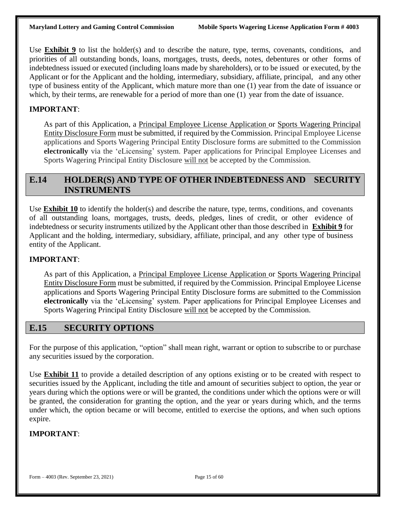Use **Exhibit 9** to list the holder(s) and to describe the nature, type, terms, covenants, conditions, and priorities of all outstanding bonds, loans, mortgages, trusts, deeds, notes, debentures or other forms of indebtedness issued or executed (including loans made by shareholders), or to be issued or executed, by the Applicant or for the Applicant and the holding, intermediary, subsidiary, affiliate, principal, and any other type of business entity of the Applicant, which mature more than one (1) year from the date of issuance or which, by their terms, are renewable for a period of more than one (1) year from the date of issuance.

### **IMPORTANT**:

As part of this Application, a Principal Employee License Application or Sports Wagering Principal Entity Disclosure Form must be submitted, if required by the Commission. Principal Employee License applications and Sports Wagering Principal Entity Disclosure forms are submitted to the Commission **electronically** via the 'eLicensing' system. Paper applications for Principal Employee Licenses and Sports Wagering Principal Entity Disclosure will not be accepted by the Commission.

## **E.14 HOLDER(S) AND TYPE OF OTHER INDEBTEDNESS AND SECURITY INSTRUMENTS**

Use **Exhibit 10** to identify the holder(s) and describe the nature, type, terms, conditions, and covenants of all outstanding loans, mortgages, trusts, deeds, pledges, lines of credit, or other evidence of indebtedness or security instruments utilized by the Applicant other than those described in **Exhibit 9** for Applicant and the holding, intermediary, subsidiary, affiliate, principal, and any other type of business entity of the Applicant.

### **IMPORTANT**:

As part of this Application, a Principal Employee License Application or Sports Wagering Principal Entity Disclosure Form must be submitted, if required by the Commission. Principal Employee License applications and Sports Wagering Principal Entity Disclosure forms are submitted to the Commission **electronically** via the 'eLicensing' system. Paper applications for Principal Employee Licenses and Sports Wagering Principal Entity Disclosure will not be accepted by the Commission.

## **E.15 SECURITY OPTIONS**

For the purpose of this application, "option" shall mean right, warrant or option to subscribe to or purchase any securities issued by the corporation.

Use **Exhibit 11** to provide a detailed description of any options existing or to be created with respect to securities issued by the Applicant, including the title and amount of securities subject to option, the year or years during which the options were or will be granted, the conditions under which the options were or will be granted, the consideration for granting the option, and the year or years during which, and the terms under which, the option became or will become, entitled to exercise the options, and when such options expire.

## **IMPORTANT**: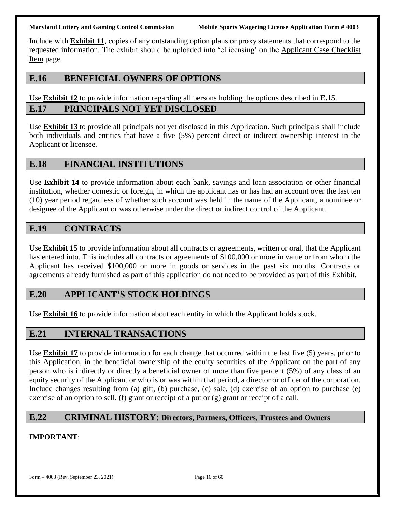Include with **Exhibit 11**, copies of any outstanding option plans or proxy statements that correspond to the requested information. The exhibit should be uploaded into 'eLicensing' on the Applicant Case Checklist Item page.

## **E.16 BENEFICIAL OWNERS OF OPTIONS**

Use **Exhibit 12** to provide information regarding all persons holding the options described in **E.15**. **E.17 PRINCIPALS NOT YET DISCLOSED** 

Use **Exhibit 13** to provide all principals not yet disclosed in this Application. Such principals shall include both individuals and entities that have a five (5%) percent direct or indirect ownership interest in the Applicant or licensee.

## **E.18 FINANCIAL INSTITUTIONS**

Use **Exhibit 14** to provide information about each bank, savings and loan association or other financial institution, whether domestic or foreign, in which the applicant has or has had an account over the last ten (10) year period regardless of whether such account was held in the name of the Applicant, a nominee or designee of the Applicant or was otherwise under the direct or indirect control of the Applicant.

## **E.19 CONTRACTS**

Use **Exhibit 15** to provide information about all contracts or agreements, written or oral, that the Applicant has entered into. This includes all contracts or agreements of \$100,000 or more in value or from whom the Applicant has received \$100,000 or more in goods or services in the past six months. Contracts or agreements already furnished as part of this application do not need to be provided as part of this Exhibit.

## **E.20 APPLICANT'S STOCK HOLDINGS**

Use **Exhibit 16** to provide information about each entity in which the Applicant holds stock.

## **E.21 INTERNAL TRANSACTIONS**

Use **Exhibit 17** to provide information for each change that occurred within the last five (5) years, prior to this Application, in the beneficial ownership of the equity securities of the Applicant on the part of any person who is indirectly or directly a beneficial owner of more than five percent (5%) of any class of an equity security of the Applicant or who is or was within that period, a director or officer of the corporation. Include changes resulting from (a) gift, (b) purchase, (c) sale, (d) exercise of an option to purchase (e) exercise of an option to sell, (f) grant or receipt of a put or (g) grant or receipt of a call.

## **E.22 CRIMINAL HISTORY: Directors, Partners, Officers, Trustees and Owners**

### **IMPORTANT**:

Form – 4003 (Rev. September 23, 2021) Page 16 of 60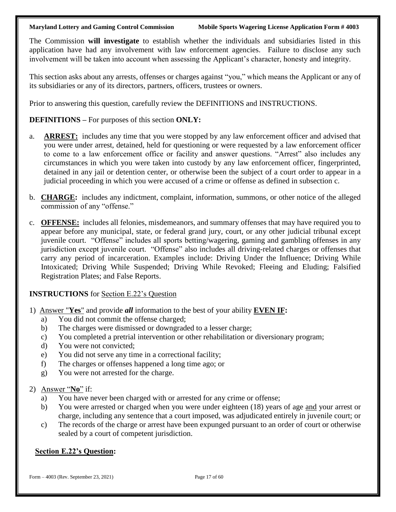The Commission **will investigate** to establish whether the individuals and subsidiaries listed in this application have had any involvement with law enforcement agencies. Failure to disclose any such involvement will be taken into account when assessing the Applicant's character, honesty and integrity.

This section asks about any arrests, offenses or charges against "you," which means the Applicant or any of its subsidiaries or any of its directors, partners, officers, trustees or owners.

Prior to answering this question, carefully review the DEFINITIONS and INSTRUCTIONS.

**DEFINITIONS –** For purposes of this section **ONLY:**

- a. **ARREST:** includes any time that you were stopped by any law enforcement officer and advised that you were under arrest, detained, held for questioning or were requested by a law enforcement officer to come to a law enforcement office or facility and answer questions. "Arrest" also includes any circumstances in which you were taken into custody by any law enforcement officer, fingerprinted, detained in any jail or detention center, or otherwise been the subject of a court order to appear in a judicial proceeding in which you were accused of a crime or offense as defined in subsection c.
- b. **CHARGE:** includes any indictment, complaint, information, summons, or other notice of the alleged commission of any "offense."
- c. **OFFENSE:** includes all felonies, misdemeanors, and summary offenses that may have required you to appear before any municipal, state, or federal grand jury, court, or any other judicial tribunal except juvenile court. "Offense" includes all sports betting/wagering, gaming and gambling offenses in any jurisdiction except juvenile court. "Offense" also includes all driving-related charges or offenses that carry any period of incarceration. Examples include: Driving Under the Influence; Driving While Intoxicated; Driving While Suspended; Driving While Revoked; Fleeing and Eluding; Falsified Registration Plates; and False Reports.

### **INSTRUCTIONS** for Section E.22's Question

- 1) Answer "**Yes**" and provide *all* information to the best of your ability **EVEN IF:**
	- a) You did not commit the offense charged;
	- b) The charges were dismissed or downgraded to a lesser charge;
	- c) You completed a pretrial intervention or other rehabilitation or diversionary program;
	- d) You were not convicted;
	- e) You did not serve any time in a correctional facility;
	- f) The charges or offenses happened a long time ago; or
	- g) You were not arrested for the charge.

### 2) Answer "**No**" if:

- a) You have never been charged with or arrested for any crime or offense;
- b) You were arrested or charged when you were under eighteen (18) years of age and your arrest or charge, including any sentence that a court imposed, was adjudicated entirely in juvenile court; or
- c) The records of the charge or arrest have been expunged pursuant to an order of court or otherwise sealed by a court of competent jurisdiction.

### **Section E.22's Question:**

Form – 4003 (Rev. September 23, 2021) Page 17 of 60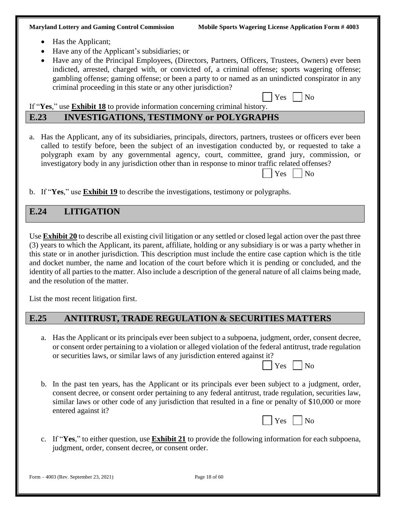- Has the Applicant;
- Have any of the Applicant's subsidiaries; or
- Have any of the Principal Employees, (Directors, Partners, Officers, Trustees, Owners) ever been indicted, arrested, charged with, or convicted of, a criminal offense; sports wagering offense; gambling offense; gaming offense; or been a party to or named as an unindicted conspirator in any criminal proceeding in this state or any other jurisdiction?

|  |  | Yes No |  |  |  |
|--|--|--------|--|--|--|
|--|--|--------|--|--|--|

If "**Yes**," use **Exhibit 18** to provide information concerning criminal history.

## **E.23 INVESTIGATIONS, TESTIMONY or POLYGRAPHS**

a. Has the Applicant, any of its subsidiaries, principals, directors, partners, trustees or officers ever been called to testify before, been the subject of an investigation conducted by, or requested to take a polygraph exam by any governmental agency, court, committee, grand jury, commission, or investigatory body in any jurisdiction other than in response to minor traffic related offenses?

| - |  |
|---|--|
|---|--|

b. If "**Yes**," use **Exhibit 19** to describe the investigations, testimony or polygraphs.

## **E.24 LITIGATION**

Use **Exhibit 20** to describe all existing civil litigation or any settled or closed legal action over the past three (3) years to which the Applicant, its parent, affiliate, holding or any subsidiary is or was a party whether in this state or in another jurisdiction. This description must include the entire case caption which is the title and docket number, the name and location of the court before which it is pending or concluded, and the identity of all parties to the matter. Also include a description of the general nature of all claims being made, and the resolution of the matter.

List the most recent litigation first.

## **E.25 ANTITRUST, TRADE REGULATION & SECURITIES MATTERS**

a. Has the Applicant or its principals ever been subject to a subpoena, judgment, order, consent decree, or consent order pertaining to a violation or alleged violation of the federal antitrust, trade regulation or securities laws, or similar laws of any jurisdiction entered against it?

|  | $\tilde{\phantom{a}}$ |  | ገ |
|--|-----------------------|--|---|
|--|-----------------------|--|---|

b. In the past ten years, has the Applicant or its principals ever been subject to a judgment, order, consent decree, or consent order pertaining to any federal antitrust, trade regulation, securities law, similar laws or other code of any jurisdiction that resulted in a fine or penalty of \$10,000 or more entered against it?

| - - |  | ∩ |
|-----|--|---|
|-----|--|---|

c. If "**Yes**," to either question, use **Exhibit 21** to provide the following information for each subpoena, judgment, order, consent decree, or consent order.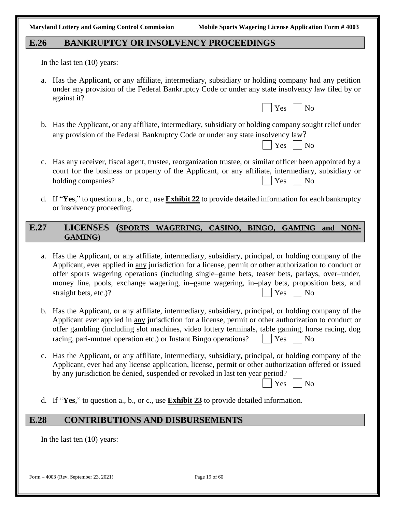$Yes \Box No$ 

 $Yes \mid \mid No$ 

## **E.26 BANKRUPTCY OR INSOLVENCY PROCEEDINGS**

In the last ten (10) years:

- a. Has the Applicant, or any affiliate, intermediary, subsidiary or holding company had any petition under any provision of the Federal Bankruptcy Code or under any state insolvency law filed by or against it?
- b. Has the Applicant, or any affiliate, intermediary, subsidiary or holding company sought relief under any provision of the Federal Bankruptcy Code or under any state insolvency law?
- c. Has any receiver, fiscal agent, trustee, reorganization trustee, or similar officer been appointed by a court for the business or property of the Applicant, or any affiliate, intermediary, subsidiary or holding companies?  $|\nvert$   $\sqrt{Y}$ es  $|\nvert$   $\sqrt{N}$ o
- d. If "**Yes**," to question a., b., or c., use **Exhibit 22** to provide detailed information for each bankruptcy or insolvency proceeding.

## **E.27 LICENSES (SPORTS WAGERING, CASINO, BINGO, GAMING and NON-GAMING)**

- a. Has the Applicant, or any affiliate, intermediary, subsidiary, principal, or holding company of the Applicant, ever applied in any jurisdiction for a license, permit or other authorization to conduct or offer sports wagering operations (including single–game bets, teaser bets, parlays, over–under, money line, pools, exchange wagering, in–game wagering, in–play bets, proposition bets, and straight bets, etc.)?  $| \nabla \text{e} s |$  No
- b. Has the Applicant, or any affiliate, intermediary, subsidiary, principal, or holding company of the Applicant ever applied in any jurisdiction for a license, permit or other authorization to conduct or offer gambling (including slot machines, video lottery terminals, table gaming, horse racing, dog racing, pari-mutuel operation etc.) or Instant Bingo operations?  $\parallel$  Yes  $\parallel$  No
- c. Has the Applicant, or any affiliate, intermediary, subsidiary, principal, or holding company of the Applicant, ever had any license application, license, permit or other authorization offered or issued by any jurisdiction be denied, suspended or revoked in last ten year period?
- $\Box$  Yes  $\Box$  No
	- d. If "**Yes**," to question a., b., or c., use **Exhibit 23** to provide detailed information.

## **E.28 CONTRIBUTIONS AND DISBURSEMENTS**

In the last ten (10) years:

Form – 4003 (Rev. September 23, 2021) Page 19 of 60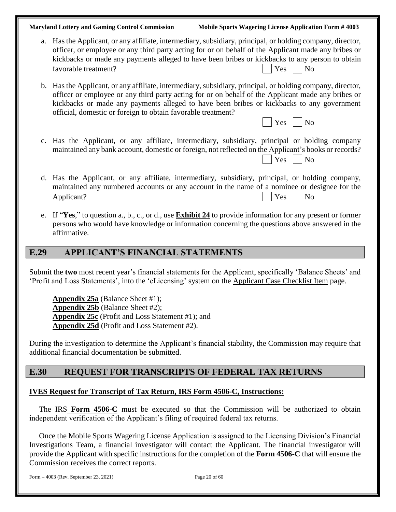- a. Has the Applicant, or any affiliate, intermediary, subsidiary, principal, or holding company, director, officer, or employee or any third party acting for or on behalf of the Applicant made any bribes or kickbacks or made any payments alleged to have been bribes or kickbacks to any person to obtain favorable treatment? Yes No
- b. Has the Applicant, or any affiliate, intermediary, subsidiary, principal, or holding company, director, officer or employee or any third party acting for or on behalf of the Applicant made any bribes or kickbacks or made any payments alleged to have been bribes or kickbacks to any government official, domestic or foreign to obtain favorable treatment?
- $\Box$  Yes  $\Box$  No
	- c. Has the Applicant, or any affiliate, intermediary, subsidiary, principal or holding company maintained any bank account, domestic or foreign, not reflected on the Applicant's books or records?  $Yes \mid \text{No}$
	- d. Has the Applicant, or any affiliate, intermediary, subsidiary, principal, or holding company, maintained any numbered accounts or any account in the name of a nominee or designee for the Applicant?  $|$   $|$   $Y$ es  $|$   $|$   $N<sub>o</sub>$
	- e. If "**Yes**," to question a., b., c., or d., use **Exhibit 24** to provide information for any present or former persons who would have knowledge or information concerning the questions above answered in the affirmative.

### **E.29 APPLICANT'S FINANCIAL STATEMENTS**

Submit the **two** most recent year's financial statements for the Applicant, specifically 'Balance Sheets' and 'Profit and Loss Statements', into the 'eLicensing' system on the Applicant Case Checklist Item page.

**Appendix 25a** (Balance Sheet #1); **Appendix 25b** (Balance Sheet #2); **Appendix 25c** (Profit and Loss Statement #1); and **Appendix 25d** (Profit and Loss Statement #2).

During the investigation to determine the Applicant's financial stability, the Commission may require that additional financial documentation be submitted.

## **E.30 REQUEST FOR TRANSCRIPTS OF FEDERAL TAX RETURNS**

### **IVES Request for Transcript of Tax Return, IRS Form 4506-C, Instructions:**

 The IRS **Form 4506-C** must be executed so that the Commission will be authorized to obtain independent verification of the Applicant's filing of required federal tax returns.

 Once the Mobile Sports Wagering License Application is assigned to the Licensing Division's Financial Investigations Team, a financial investigator will contact the Applicant. The financial investigator will provide the Applicant with specific instructions for the completion of the **Form 4506-C** that will ensure the Commission receives the correct reports.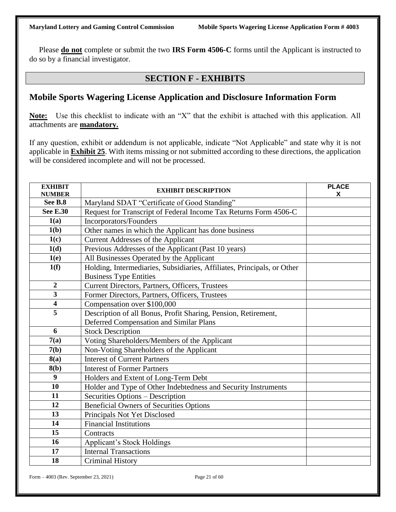Please **do not** complete or submit the two **IRS Form 4506-C** forms until the Applicant is instructed to do so by a financial investigator.

## **SECTION F - EXHIBITS**

## **Mobile Sports Wagering License Application and Disclosure Information Form**

**Note:** Use this checklist to indicate with an "X" that the exhibit is attached with this application. All attachments are **mandatory.**

If any question, exhibit or addendum is not applicable, indicate "Not Applicable" and state why it is not applicable in **Exhibit 25**. With items missing or not submitted according to these directions, the application will be considered incomplete and will not be processed.

| <b>EXHIBIT</b><br><b>NUMBER</b> | <b>EXHIBIT DESCRIPTION</b>                                                                               | <b>PLACE</b><br>X |
|---------------------------------|----------------------------------------------------------------------------------------------------------|-------------------|
| See B.8                         | Maryland SDAT "Certificate of Good Standing"                                                             |                   |
| <b>See E.30</b>                 | Request for Transcript of Federal Income Tax Returns Form 4506-C                                         |                   |
| 1(a)                            | Incorporators/Founders                                                                                   |                   |
| 1(b)                            | Other names in which the Applicant has done business                                                     |                   |
| 1(c)                            | Current Addresses of the Applicant                                                                       |                   |
| 1(d)                            | Previous Addresses of the Applicant (Past 10 years)                                                      |                   |
| 1(e)                            | All Businesses Operated by the Applicant                                                                 |                   |
| 1(f)                            | Holding, Intermediaries, Subsidiaries, Affiliates, Principals, or Other<br><b>Business Type Entities</b> |                   |
| $\overline{2}$                  | Current Directors, Partners, Officers, Trustees                                                          |                   |
| $\overline{\mathbf{3}}$         | Former Directors, Partners, Officers, Trustees                                                           |                   |
| $\overline{\mathbf{4}}$         | Compensation over \$100,000                                                                              |                   |
| 5                               | Description of all Bonus, Profit Sharing, Pension, Retirement,                                           |                   |
|                                 | Deferred Compensation and Similar Plans                                                                  |                   |
| 6                               | <b>Stock Description</b>                                                                                 |                   |
| 7(a)                            | Voting Shareholders/Members of the Applicant                                                             |                   |
| 7(b)                            | Non-Voting Shareholders of the Applicant                                                                 |                   |
| 8(a)                            | <b>Interest of Current Partners</b>                                                                      |                   |
| 8(b)                            | <b>Interest of Former Partners</b>                                                                       |                   |
| 9                               | Holders and Extent of Long-Term Debt                                                                     |                   |
| 10                              | Holder and Type of Other Indebtedness and Security Instruments                                           |                   |
| 11                              | Securities Options - Description                                                                         |                   |
| 12                              | <b>Beneficial Owners of Securities Options</b>                                                           |                   |
| 13                              | Principals Not Yet Disclosed                                                                             |                   |
| 14                              | <b>Financial Institutions</b>                                                                            |                   |
| 15                              | Contracts                                                                                                |                   |
| 16                              | <b>Applicant's Stock Holdings</b>                                                                        |                   |
| 17                              | <b>Internal Transactions</b>                                                                             |                   |
| 18                              | <b>Criminal History</b>                                                                                  |                   |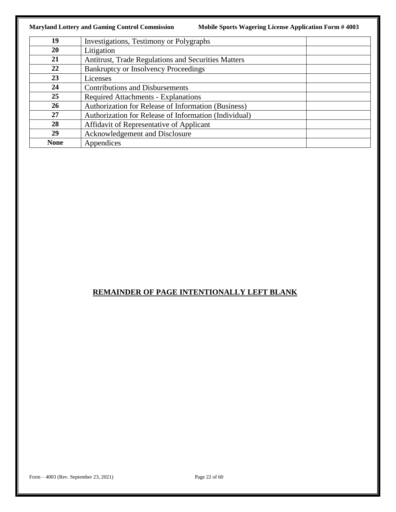|             | <b>Maryland Lottery and Gaming Control Commission</b><br><b>Mobile Sports Wagering License Application Form #4003</b> |
|-------------|-----------------------------------------------------------------------------------------------------------------------|
| 19          | <b>Investigations, Testimony or Polygraphs</b>                                                                        |
| <b>20</b>   | Litigation                                                                                                            |
| 21          | Antitrust, Trade Regulations and Securities Matters                                                                   |
| 22          | <b>Bankruptcy or Insolvency Proceedings</b>                                                                           |
| 23          | Licenses                                                                                                              |
| 24          | <b>Contributions and Disbursements</b>                                                                                |
| 25          | <b>Required Attachments - Explanations</b>                                                                            |
| 26          | Authorization for Release of Information (Business)                                                                   |
| 27          | Authorization for Release of Information (Individual)                                                                 |
| 28          | Affidavit of Representative of Applicant                                                                              |
| 29          | Acknowledgement and Disclosure                                                                                        |
| <b>None</b> | Appendices                                                                                                            |

## **REMAINDER OF PAGE INTENTIONALLY LEFT BLANK**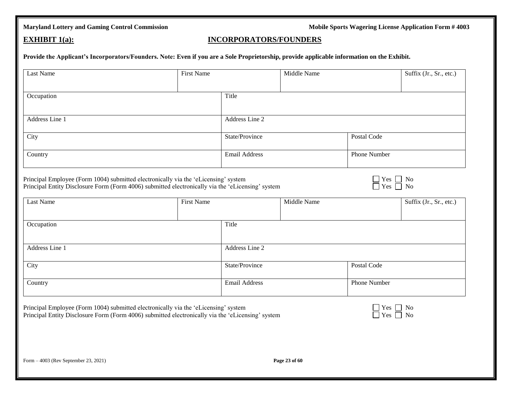### **EXHIBIT 1(a): INCORPORATORS/FOUNDERS**

Provide the Applicant's Incorporators/Founders. Note: Even if you are a Sole Proprietorship, provide applicable information on the Exhibit.

| Last Name                                                                                                                                                                                | <b>First Name</b> |                      | Middle Name |                                                                                                                        | Suffix (Jr., Sr., etc.) |  |
|------------------------------------------------------------------------------------------------------------------------------------------------------------------------------------------|-------------------|----------------------|-------------|------------------------------------------------------------------------------------------------------------------------|-------------------------|--|
| Occupation                                                                                                                                                                               |                   | Title                |             |                                                                                                                        |                         |  |
| Address Line 1                                                                                                                                                                           |                   | Address Line 2       |             |                                                                                                                        |                         |  |
| City                                                                                                                                                                                     |                   | State/Province       |             | Postal Code                                                                                                            |                         |  |
| Country                                                                                                                                                                                  |                   | <b>Email Address</b> |             | <b>Phone Number</b>                                                                                                    |                         |  |
| Principal Employee (Form 1004) submitted electronically via the 'eLicensing' system<br>Principal Entity Disclosure Form (Form 4006) submitted electronically via the 'eLicensing' system |                   |                      |             | $\Box$ Yes $\Box$ No<br>$\Box$ Yes $\Box$                                                                              | N <sub>o</sub>          |  |
| Last Name                                                                                                                                                                                | <b>First Name</b> |                      | Middle Name |                                                                                                                        | Suffix (Jr., Sr., etc.) |  |
| Occupation                                                                                                                                                                               |                   | Title                |             |                                                                                                                        |                         |  |
| Address Line 1                                                                                                                                                                           |                   | Address Line 2       |             |                                                                                                                        |                         |  |
| City                                                                                                                                                                                     |                   | State/Province       |             | Postal Code                                                                                                            |                         |  |
| Country                                                                                                                                                                                  |                   | <b>Email Address</b> |             | Phone Number                                                                                                           |                         |  |
| Principal Employee (Form 1004) submitted electronically via the 'eLicensing' system<br>Principal Entity Disclosure Form (Form 4006) submitted electronically via the 'eLicensing' system |                   |                      |             | $\begin{array}{ c c c }\n \hline \text{Yes} & \text{No} \\ \hline \text{Yes} & \text{No} \\ \hline\n \end{array}$<br>П |                         |  |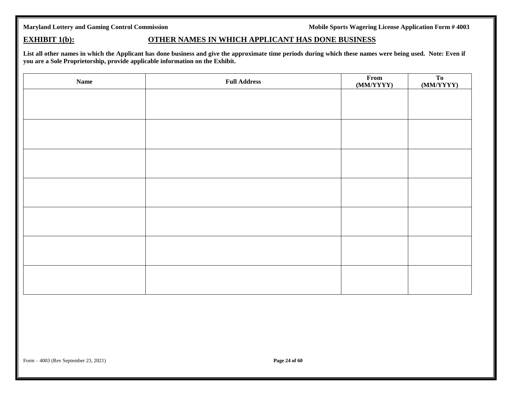### **EXHIBIT 1(b): OTHER NAMES IN WHICH APPLICANT HAS DONE BUSINESS**

**List all other names in which the Applicant has done business and give the approximate time periods during which these names were being used. Note: Even if you are a Sole Proprietorship, provide applicable information on the Exhibit.**

| <b>Name</b> | <b>Full Address</b> | From<br>(MM/YYYY) | To<br>(MM/YYYY) |
|-------------|---------------------|-------------------|-----------------|
|             |                     |                   |                 |
|             |                     |                   |                 |
|             |                     |                   |                 |
|             |                     |                   |                 |
|             |                     |                   |                 |
|             |                     |                   |                 |
|             |                     |                   |                 |
|             |                     |                   |                 |
|             |                     |                   |                 |
|             |                     |                   |                 |
|             |                     |                   |                 |
|             |                     |                   |                 |
|             |                     |                   |                 |
|             |                     |                   |                 |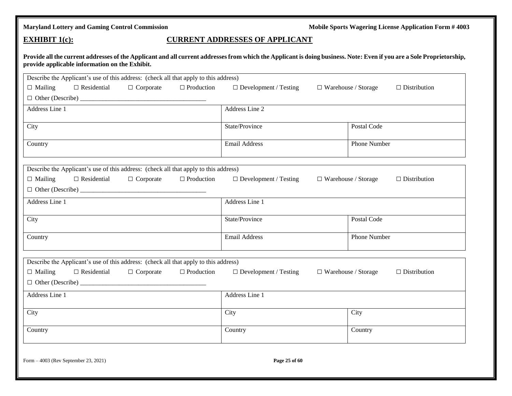### **EXHIBIT 1(c): CURRENT ADDRESSES OF APPLICANT**

**Provide all the current addresses of the Applicant and all current addresses from which the Applicant is doing business. Note: Even if you are a Sole Proprietorship, provide applicable information on the Exhibit.**

| Describe the Applicant's use of this address: (check all that apply to this address) |                              |                                                   |  |  |  |  |  |
|--------------------------------------------------------------------------------------|------------------------------|---------------------------------------------------|--|--|--|--|--|
| $\Box$ Mailing<br>$\Box$ Residential<br>$\Box$ Corporate<br>$\Box$ Production        | $\Box$ Development / Testing | $\Box$ Warehouse / Storage<br>$\Box$ Distribution |  |  |  |  |  |
|                                                                                      |                              |                                                   |  |  |  |  |  |
| Address Line 1                                                                       | Address Line 2               |                                                   |  |  |  |  |  |
|                                                                                      |                              |                                                   |  |  |  |  |  |
| City                                                                                 | State/Province               | Postal Code                                       |  |  |  |  |  |
| Country                                                                              | Email Address                | Phone Number                                      |  |  |  |  |  |
|                                                                                      |                              |                                                   |  |  |  |  |  |
|                                                                                      |                              |                                                   |  |  |  |  |  |
| Describe the Applicant's use of this address: (check all that apply to this address) |                              |                                                   |  |  |  |  |  |
| $\Box$ Mailing<br>$\Box$ Production<br>$\Box$ Residential<br>$\Box$ Corporate        | $\Box$ Development / Testing | $\Box$ Warehouse / Storage<br>$\Box$ Distribution |  |  |  |  |  |
|                                                                                      |                              |                                                   |  |  |  |  |  |
| Address Line 1                                                                       | Address Line 1               |                                                   |  |  |  |  |  |
|                                                                                      |                              |                                                   |  |  |  |  |  |
| City                                                                                 | State/Province               | Postal Code                                       |  |  |  |  |  |
| Country                                                                              | <b>Email Address</b>         | Phone Number                                      |  |  |  |  |  |
|                                                                                      |                              |                                                   |  |  |  |  |  |
|                                                                                      |                              |                                                   |  |  |  |  |  |
| Describe the Applicant's use of this address: (check all that apply to this address) |                              |                                                   |  |  |  |  |  |
| $\Box$ Production<br>$\Box$ Mailing<br>$\Box$ Residential<br>$\Box$ Corporate        | $\Box$ Development / Testing | $\Box$ Warehouse / Storage<br>$\Box$ Distribution |  |  |  |  |  |
|                                                                                      |                              |                                                   |  |  |  |  |  |
| Address Line 1                                                                       | Address Line 1               |                                                   |  |  |  |  |  |
|                                                                                      |                              |                                                   |  |  |  |  |  |
| City                                                                                 | City                         | City                                              |  |  |  |  |  |
| Country                                                                              | Country                      | Country                                           |  |  |  |  |  |
|                                                                                      |                              |                                                   |  |  |  |  |  |
|                                                                                      |                              |                                                   |  |  |  |  |  |
| Form - 4003 (Rev September 23, 2021)                                                 | Page 25 of 60                |                                                   |  |  |  |  |  |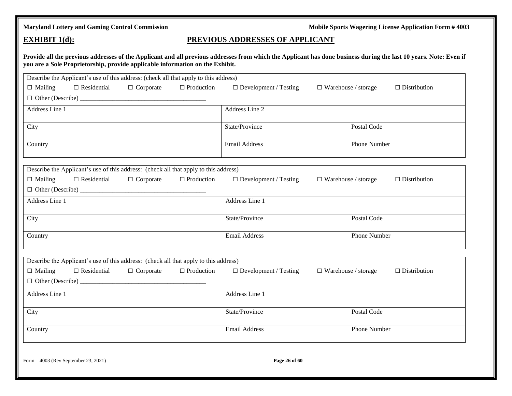### **EXHIBIT 1(d): PREVIOUS ADDRESSES OF APPLICANT**

**Provide all the previous addresses of the Applicant and all previous addresses from which the Applicant has done business during the last 10 years. Note: Even if you are a Sole Proprietorship, provide applicable information on the Exhibit.**

| Describe the Applicant's use of this address: (check all that apply to this address) |                    |                                                                                      |                   |                              |                                                   |  |  |
|--------------------------------------------------------------------------------------|--------------------|--------------------------------------------------------------------------------------|-------------------|------------------------------|---------------------------------------------------|--|--|
| $\Box$ Mailing                                                                       | $\Box$ Residential | $\Box$ Corporate                                                                     | $\Box$ Production | $\Box$ Development / Testing | $\Box$ Warehouse / storage<br>$\Box$ Distribution |  |  |
|                                                                                      |                    |                                                                                      |                   |                              |                                                   |  |  |
| Address Line 1                                                                       |                    |                                                                                      |                   | Address Line 2               |                                                   |  |  |
|                                                                                      |                    |                                                                                      |                   |                              |                                                   |  |  |
| City                                                                                 |                    |                                                                                      |                   | State/Province               | Postal Code                                       |  |  |
| Country                                                                              |                    |                                                                                      |                   | <b>Email Address</b>         | Phone Number                                      |  |  |
|                                                                                      |                    |                                                                                      |                   |                              |                                                   |  |  |
|                                                                                      |                    |                                                                                      |                   |                              |                                                   |  |  |
| Describe the Applicant's use of this address: (check all that apply to this address) |                    |                                                                                      |                   |                              |                                                   |  |  |
| $\Box$ Mailing                                                                       | $\Box$ Residential | $\Box$ Corporate                                                                     | $\Box$ Production | $\Box$ Development / Testing | $\Box$ Distribution<br>$\Box$ Warehouse / storage |  |  |
|                                                                                      |                    |                                                                                      |                   |                              |                                                   |  |  |
| Address Line 1                                                                       |                    |                                                                                      |                   | Address Line 1               |                                                   |  |  |
|                                                                                      |                    |                                                                                      |                   |                              |                                                   |  |  |
| City                                                                                 |                    |                                                                                      |                   | State/Province               | Postal Code                                       |  |  |
| Country                                                                              |                    |                                                                                      |                   | <b>Email Address</b>         | Phone Number                                      |  |  |
|                                                                                      |                    |                                                                                      |                   |                              |                                                   |  |  |
|                                                                                      |                    |                                                                                      |                   |                              |                                                   |  |  |
|                                                                                      |                    | Describe the Applicant's use of this address: (check all that apply to this address) |                   |                              |                                                   |  |  |
| $\Box$ Mailing                                                                       | $\Box$ Residential | $\Box$ Corporate                                                                     | $\Box$ Production | $\Box$ Development / Testing | $\Box$ Warehouse / storage<br>$\Box$ Distribution |  |  |
|                                                                                      |                    |                                                                                      |                   |                              |                                                   |  |  |
| Address Line 1                                                                       |                    |                                                                                      |                   | Address Line 1               |                                                   |  |  |
|                                                                                      |                    |                                                                                      |                   |                              |                                                   |  |  |
| City                                                                                 |                    |                                                                                      |                   | State/Province               | Postal Code                                       |  |  |
|                                                                                      |                    |                                                                                      |                   |                              |                                                   |  |  |
| Country                                                                              |                    |                                                                                      |                   | <b>Email Address</b>         | Phone Number                                      |  |  |
|                                                                                      |                    |                                                                                      |                   |                              |                                                   |  |  |
|                                                                                      |                    |                                                                                      |                   |                              |                                                   |  |  |

Form – 4003 (Rev September 23, 2021) **Page 26 of 60**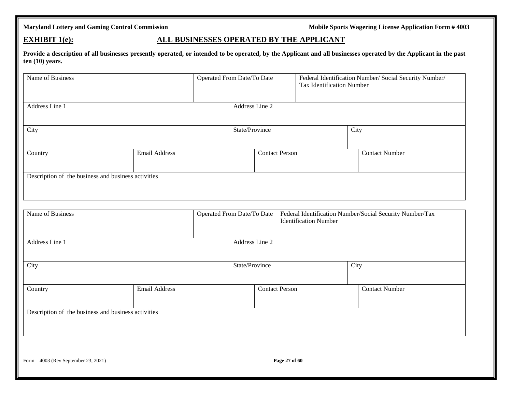### **EXHIBIT 1(e): ALL BUSINESSES OPERATED BY THE APPLICANT**

**Provide a description of all businesses presently operated, or intended to be operated, by the Applicant and all businesses operated by the Applicant in the past ten (10) years.**

| Name of Business                                    |                      | Operated From Date/To Date |                              | Federal Identification Number/ Social Security Number/<br>Tax Identification Number |  |  |
|-----------------------------------------------------|----------------------|----------------------------|------------------------------|-------------------------------------------------------------------------------------|--|--|
| Address Line 1                                      |                      | Address Line 2             |                              |                                                                                     |  |  |
| City                                                |                      | State/Province             |                              | City                                                                                |  |  |
| Country                                             | <b>Email Address</b> |                            | <b>Contact Person</b>        | <b>Contact Number</b>                                                               |  |  |
| Description of the business and business activities |                      |                            |                              |                                                                                     |  |  |
| Name of Business                                    |                      | Operated From Date/To Date |                              | Federal Identification Number/Social Security Number/Tax                            |  |  |
|                                                     |                      |                            | <b>Identification Number</b> |                                                                                     |  |  |
| Address Line 1                                      |                      | Address Line 2             |                              |                                                                                     |  |  |
| City                                                |                      | State/Province             |                              | City                                                                                |  |  |
| Country                                             | <b>Email Address</b> |                            | <b>Contact Person</b>        | <b>Contact Number</b>                                                               |  |  |
| Description of the business and business activities |                      |                            |                              |                                                                                     |  |  |
|                                                     |                      |                            |                              |                                                                                     |  |  |
|                                                     |                      |                            |                              |                                                                                     |  |  |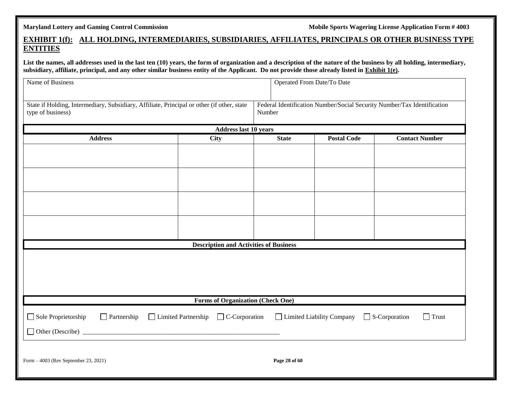## **EXHIBIT 1(f): ALL HOLDING, INTERMEDIARIES, SUBSIDIARIES, AFFILIATES, PRINCIPALS OR OTHER BUSINESS TYPE ENTITIES**

List the names, all addresses used in the last ten (10) years, the form of organization and a description of the nature of the business by all holding, intermediary, **subsidiary, affiliate, principal, and any other similar business entity of the Applicant. Do not provide those already listed in Exhibit 1(e).**

| Name of Business                                                                                                |                                      |                       | Operated From Date/To Date                    |                                                                                   |                             |                      |                       |
|-----------------------------------------------------------------------------------------------------------------|--------------------------------------|-----------------------|-----------------------------------------------|-----------------------------------------------------------------------------------|-----------------------------|----------------------|-----------------------|
| State if Holding, Intermediary, Subsidiary, Affiliate, Principal or other (if other, state<br>type of business) |                                      |                       |                                               | Federal Identification Number/Social Security Number/Tax Identification<br>Number |                             |                      |                       |
|                                                                                                                 |                                      |                       | <b>Address last 10 years</b>                  |                                                                                   |                             |                      |                       |
|                                                                                                                 | <b>Address</b>                       |                       | <b>City</b>                                   | <b>State</b>                                                                      | <b>Postal Code</b>          |                      | <b>Contact Number</b> |
|                                                                                                                 |                                      |                       |                                               |                                                                                   |                             |                      |                       |
|                                                                                                                 |                                      |                       |                                               |                                                                                   |                             |                      |                       |
|                                                                                                                 |                                      |                       |                                               |                                                                                   |                             |                      |                       |
|                                                                                                                 |                                      |                       |                                               |                                                                                   |                             |                      |                       |
|                                                                                                                 |                                      |                       |                                               |                                                                                   |                             |                      |                       |
|                                                                                                                 |                                      |                       |                                               |                                                                                   |                             |                      |                       |
|                                                                                                                 |                                      |                       |                                               |                                                                                   |                             |                      |                       |
|                                                                                                                 |                                      |                       |                                               |                                                                                   |                             |                      |                       |
|                                                                                                                 |                                      |                       | <b>Description and Activities of Business</b> |                                                                                   |                             |                      |                       |
|                                                                                                                 |                                      |                       |                                               |                                                                                   |                             |                      |                       |
|                                                                                                                 |                                      |                       |                                               |                                                                                   |                             |                      |                       |
|                                                                                                                 |                                      |                       |                                               |                                                                                   |                             |                      |                       |
|                                                                                                                 |                                      |                       |                                               |                                                                                   |                             |                      |                       |
|                                                                                                                 |                                      |                       | <b>Forms of Organization (Check One)</b>      |                                                                                   |                             |                      |                       |
| Sole Proprietorship                                                                                             | $\Box$ Partnership                   | □ Limited Partnership | $\Box$ C-Corporation                          |                                                                                   | □ Limited Liability Company | $\Box$ S-Corporation | Trust                 |
|                                                                                                                 |                                      |                       |                                               |                                                                                   |                             |                      |                       |
| $\Box$ Other (Describe) $\Box$                                                                                  |                                      |                       |                                               |                                                                                   |                             |                      |                       |
|                                                                                                                 |                                      |                       |                                               |                                                                                   |                             |                      |                       |
|                                                                                                                 | Form - 4003 (Rev September 23, 2021) |                       |                                               | Page 28 of 60                                                                     |                             |                      |                       |
|                                                                                                                 |                                      |                       |                                               |                                                                                   |                             |                      |                       |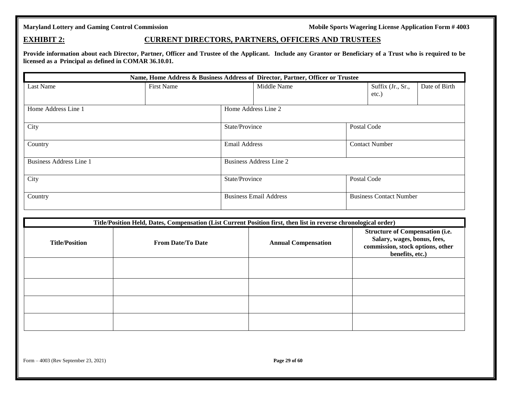### **EXHIBIT 2: CURRENT DIRECTORS, PARTNERS, OFFICERS AND TRUSTEES**

Provide information about each Director, Partner, Officer and Trustee of the Applicant. Include any Grantor or Beneficiary of a Trust who is required to be **licensed as a Principal as defined in COMAR 36.10.01.**

| Name, Home Address & Business Address of Director, Partner, Officer or Trustee |            |                      |                               |                       |                                |               |  |  |
|--------------------------------------------------------------------------------|------------|----------------------|-------------------------------|-----------------------|--------------------------------|---------------|--|--|
| Last Name                                                                      | First Name |                      | Middle Name                   |                       | Suffix (Jr., Sr.,<br>etc.)     | Date of Birth |  |  |
| Home Address Line 1                                                            |            | Home Address Line 2  |                               |                       |                                |               |  |  |
| City                                                                           |            | State/Province       |                               | Postal Code           |                                |               |  |  |
| Country                                                                        |            | <b>Email Address</b> |                               | <b>Contact Number</b> |                                |               |  |  |
| <b>Business Address Line 1</b>                                                 |            |                      | Business Address Line 2       |                       |                                |               |  |  |
| City                                                                           |            | State/Province       |                               | Postal Code           |                                |               |  |  |
| Country                                                                        |            |                      | <b>Business Email Address</b> |                       | <b>Business Contact Number</b> |               |  |  |

| Title/Position Held, Dates, Compensation (List Current Position first, then list in reverse chronological order) |                          |                            |                                                                                                                              |  |  |  |  |
|------------------------------------------------------------------------------------------------------------------|--------------------------|----------------------------|------------------------------------------------------------------------------------------------------------------------------|--|--|--|--|
| <b>Title/Position</b>                                                                                            | <b>From Date/To Date</b> | <b>Annual Compensation</b> | <b>Structure of Compensation (i.e.</b><br>Salary, wages, bonus, fees,<br>commission, stock options, other<br>benefits, etc.) |  |  |  |  |
|                                                                                                                  |                          |                            |                                                                                                                              |  |  |  |  |
|                                                                                                                  |                          |                            |                                                                                                                              |  |  |  |  |
|                                                                                                                  |                          |                            |                                                                                                                              |  |  |  |  |
|                                                                                                                  |                          |                            |                                                                                                                              |  |  |  |  |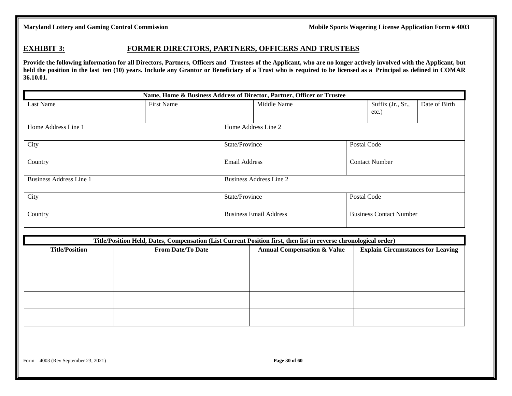### **EXHIBIT 3: FORMER DIRECTORS, PARTNERS, OFFICERS AND TRUSTEES**

Provide the following information for all Directors, Partners, Officers and Trustees of the Applicant, who are no longer actively involved with the Applicant, but held the position in the last ten (10) years. Include any Grantor or Beneficiary of a Trust who is required to be licensed as a Principal as defined in COMAR **36.10.01.**

| Name, Home & Business Address of Director, Partner, Officer or Trustee |                   |                |                                |  |                                |               |  |  |
|------------------------------------------------------------------------|-------------------|----------------|--------------------------------|--|--------------------------------|---------------|--|--|
| Last Name                                                              | <b>First Name</b> |                | Middle Name                    |  | Suffix (Jr., Sr.,<br>etc.)     | Date of Birth |  |  |
| Home Address Line 1                                                    |                   |                | Home Address Line 2            |  |                                |               |  |  |
| City                                                                   |                   | State/Province |                                |  | Postal Code                    |               |  |  |
| Country                                                                |                   | Email Address  |                                |  | <b>Contact Number</b>          |               |  |  |
| <b>Business Address Line 1</b>                                         |                   |                | <b>Business Address Line 2</b> |  |                                |               |  |  |
| City                                                                   |                   | State/Province |                                |  | Postal Code                    |               |  |  |
| Country                                                                |                   |                | <b>Business Email Address</b>  |  | <b>Business Contact Number</b> |               |  |  |

| Title/Position Held, Dates, Compensation (List Current Position first, then list in reverse chronological order) |                          |                                        |                                          |  |  |
|------------------------------------------------------------------------------------------------------------------|--------------------------|----------------------------------------|------------------------------------------|--|--|
| <b>Title/Position</b>                                                                                            | <b>From Date/To Date</b> | <b>Annual Compensation &amp; Value</b> | <b>Explain Circumstances for Leaving</b> |  |  |
|                                                                                                                  |                          |                                        |                                          |  |  |
|                                                                                                                  |                          |                                        |                                          |  |  |
|                                                                                                                  |                          |                                        |                                          |  |  |
|                                                                                                                  |                          |                                        |                                          |  |  |
|                                                                                                                  |                          |                                        |                                          |  |  |
|                                                                                                                  |                          |                                        |                                          |  |  |
|                                                                                                                  |                          |                                        |                                          |  |  |
|                                                                                                                  |                          |                                        |                                          |  |  |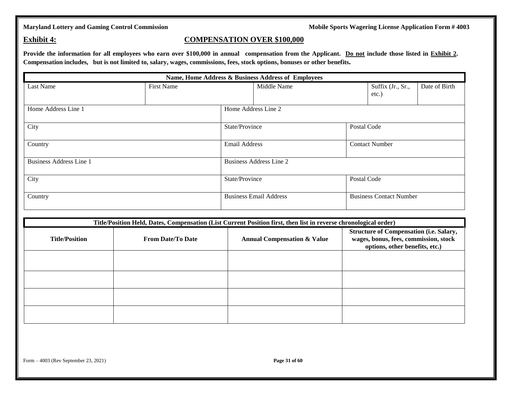### **Exhibit 4: COMPENSATION OVER \$100,000**

Provide the information for all employees who earn over \$100,000 in annual compensation from the Applicant. Do not include those listed in Exhibit 2. **Compensation includes, but is not limited to, salary, wages, commissions, fees, stock options, bonuses or other benefits.**

| Name, Home Address & Business Address of Employees |                   |                      |                               |                       |                                |               |
|----------------------------------------------------|-------------------|----------------------|-------------------------------|-----------------------|--------------------------------|---------------|
| Last Name                                          | <b>First Name</b> |                      | Middle Name                   |                       | Suffix (Jr., Sr.,<br>$etc.$ )  | Date of Birth |
| Home Address Line 1                                |                   | Home Address Line 2  |                               |                       |                                |               |
| City                                               |                   | State/Province       |                               | Postal Code           |                                |               |
| Country                                            |                   | <b>Email Address</b> |                               | <b>Contact Number</b> |                                |               |
| <b>Business Address Line 1</b>                     |                   |                      | Business Address Line 2       |                       |                                |               |
| City                                               |                   | State/Province       |                               | Postal Code           |                                |               |
| Country                                            |                   |                      | <b>Business Email Address</b> |                       | <b>Business Contact Number</b> |               |

| Title/Position Held, Dates, Compensation (List Current Position first, then list in reverse chronological order) |                          |                                        |                                                                                                                           |  |  |
|------------------------------------------------------------------------------------------------------------------|--------------------------|----------------------------------------|---------------------------------------------------------------------------------------------------------------------------|--|--|
| <b>Title/Position</b>                                                                                            | <b>From Date/To Date</b> | <b>Annual Compensation &amp; Value</b> | <b>Structure of Compensation (i.e. Salary,</b><br>wages, bonus, fees, commission, stock<br>options, other benefits, etc.) |  |  |
|                                                                                                                  |                          |                                        |                                                                                                                           |  |  |
|                                                                                                                  |                          |                                        |                                                                                                                           |  |  |
|                                                                                                                  |                          |                                        |                                                                                                                           |  |  |
|                                                                                                                  |                          |                                        |                                                                                                                           |  |  |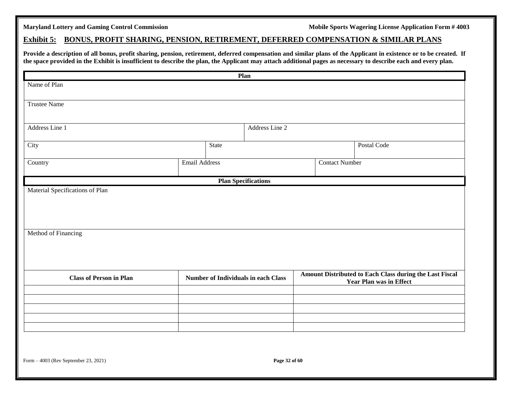### **Exhibit 5: BONUS, PROFIT SHARING, PENSION, RETIREMENT, DEFERRED COMPENSATION & SIMILAR PLANS**

**Provide a description of all bonus, profit sharing, pension, retirement, deferred compensation and similar plans of the Applicant in existence or to be created. If the space provided in the Exhibit is insufficient to describe the plan, the Applicant may attach additional pages as necessary to describe each and every plan.**

| Plan                            |                      |       |                                            |                       |                                                         |
|---------------------------------|----------------------|-------|--------------------------------------------|-----------------------|---------------------------------------------------------|
| Name of Plan                    |                      |       |                                            |                       |                                                         |
|                                 |                      |       |                                            |                       |                                                         |
| <b>Trustee Name</b>             |                      |       |                                            |                       |                                                         |
|                                 |                      |       |                                            |                       |                                                         |
| Address Line 1                  |                      |       | Address Line 2                             |                       |                                                         |
|                                 |                      |       |                                            |                       |                                                         |
| City                            |                      | State |                                            |                       | Postal Code                                             |
| Country                         | <b>Email Address</b> |       |                                            | <b>Contact Number</b> |                                                         |
|                                 |                      |       |                                            |                       |                                                         |
|                                 |                      |       | <b>Plan Specifications</b>                 |                       |                                                         |
| Material Specifications of Plan |                      |       |                                            |                       |                                                         |
|                                 |                      |       |                                            |                       |                                                         |
|                                 |                      |       |                                            |                       |                                                         |
|                                 |                      |       |                                            |                       |                                                         |
|                                 |                      |       |                                            |                       |                                                         |
| Method of Financing             |                      |       |                                            |                       |                                                         |
|                                 |                      |       |                                            |                       |                                                         |
|                                 |                      |       |                                            |                       |                                                         |
|                                 |                      |       |                                            |                       |                                                         |
| <b>Class of Person in Plan</b>  |                      |       | <b>Number of Individuals in each Class</b> |                       | Amount Distributed to Each Class during the Last Fiscal |
|                                 |                      |       |                                            |                       | <b>Year Plan was in Effect</b>                          |
|                                 |                      |       |                                            |                       |                                                         |
|                                 |                      |       |                                            |                       |                                                         |
|                                 |                      |       |                                            |                       |                                                         |
|                                 |                      |       |                                            |                       |                                                         |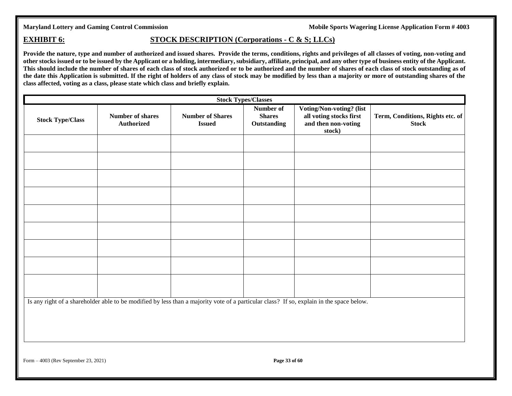### **EXHIBIT 6: STOCK DESCRIPTION (Corporations - C & S; LLCs)**

**Provide the nature, type and number of authorized and issued shares. Provide the terms, conditions, rights and privileges of all classes of voting, non-voting and other stocks issued or to be issued by the Applicant or a holding, intermediary, subsidiary, affiliate, principal, and any other type of business entity of the Applicant. This should include the number of shares of each class of stock authorized or to be authorized and the number of shares of each class of stock outstanding as of the date this Application is submitted. If the right of holders of any class of stock may be modified by less than a majority or more of outstanding shares of the class affected, voting as a class, please state which class and briefly explain.**

| <b>Stock Types/Classes</b> |                                              |                                          |                                           |                                                                                                                                          |                                                  |
|----------------------------|----------------------------------------------|------------------------------------------|-------------------------------------------|------------------------------------------------------------------------------------------------------------------------------------------|--------------------------------------------------|
| <b>Stock Type/Class</b>    | <b>Number of shares</b><br><b>Authorized</b> | <b>Number of Shares</b><br><b>Issued</b> | Number of<br><b>Shares</b><br>Outstanding | Voting/Non-voting? (list<br>all voting stocks first<br>and then non-voting<br>stock)                                                     | Term, Conditions, Rights etc. of<br><b>Stock</b> |
|                            |                                              |                                          |                                           |                                                                                                                                          |                                                  |
|                            |                                              |                                          |                                           |                                                                                                                                          |                                                  |
|                            |                                              |                                          |                                           |                                                                                                                                          |                                                  |
|                            |                                              |                                          |                                           |                                                                                                                                          |                                                  |
|                            |                                              |                                          |                                           |                                                                                                                                          |                                                  |
|                            |                                              |                                          |                                           |                                                                                                                                          |                                                  |
|                            |                                              |                                          |                                           |                                                                                                                                          |                                                  |
|                            |                                              |                                          |                                           |                                                                                                                                          |                                                  |
|                            |                                              |                                          |                                           |                                                                                                                                          |                                                  |
|                            |                                              |                                          |                                           | Is any right of a shareholder able to be modified by less than a majority vote of a particular class? If so, explain in the space below. |                                                  |

Form – 4003 (Rev September 23, 2021) **Page 33 of 60**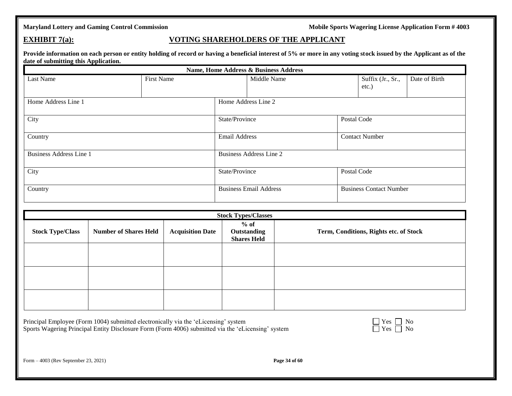### **EXHIBIT 7(a): VOTING SHAREHOLDERS OF THE APPLICANT**

**Provide information on each person or entity holding of record or having a beneficial interest of 5% or more in any voting stock issued by the Applicant as of the date of submitting this Application.**

| Name, Home Address & Business Address |                   |                               |                         |                                |                               |               |
|---------------------------------------|-------------------|-------------------------------|-------------------------|--------------------------------|-------------------------------|---------------|
| Last Name                             | <b>First Name</b> |                               | Middle Name             |                                | Suffix (Jr., Sr.,<br>$etc.$ ) | Date of Birth |
| Home Address Line 1                   |                   | Home Address Line 2           |                         |                                |                               |               |
| City                                  |                   | State/Province                |                         |                                | Postal Code                   |               |
| Country                               |                   | <b>Email Address</b>          |                         | <b>Contact Number</b>          |                               |               |
| <b>Business Address Line 1</b>        |                   |                               | Business Address Line 2 |                                |                               |               |
| City                                  |                   | State/Province                |                         | Postal Code                    |                               |               |
| Country                               |                   | <b>Business Email Address</b> |                         | <b>Business Contact Number</b> |                               |               |

|                         | <b>Stock Types/Classes</b>   |                         |                                             |                                        |  |  |  |
|-------------------------|------------------------------|-------------------------|---------------------------------------------|----------------------------------------|--|--|--|
| <b>Stock Type/Class</b> | <b>Number of Shares Held</b> | <b>Acquisition Date</b> | $%$ of<br>Outstanding<br><b>Shares Held</b> | Term, Conditions, Rights etc. of Stock |  |  |  |
|                         |                              |                         |                                             |                                        |  |  |  |
|                         |                              |                         |                                             |                                        |  |  |  |
|                         |                              |                         |                                             |                                        |  |  |  |

Principal Employee (Form 1004) submitted electronically via the 'eLicensing' system Sports Wagering Principal Entity Disclosure Form (Form 4006) submitted via the 'eLicensing' system

| Yes | NΩ |
|-----|----|
| Yes | Nο |

Form – 4003 (Rev September 23, 2021) **Page 34 of 60**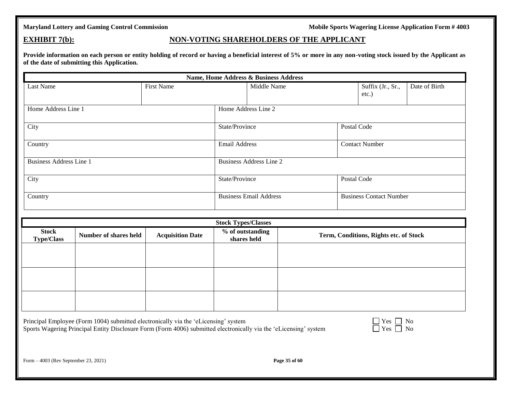### **EXHIBIT 7(b): NON-VOTING SHAREHOLDERS OF THE APPLICANT**

**Provide information on each person or entity holding of record or having a beneficial interest of 5% or more in any non-voting stock issued by the Applicant as of the date of submitting this Application.**

|                                | Name, Home Address & Business Address |                     |                                |                                |                            |               |
|--------------------------------|---------------------------------------|---------------------|--------------------------------|--------------------------------|----------------------------|---------------|
| Last Name                      | First Name                            |                     | Middle Name                    |                                | Suffix (Jr., Sr.,<br>etc.) | Date of Birth |
| Home Address Line 1            |                                       | Home Address Line 2 |                                |                                |                            |               |
| City                           |                                       | State/Province      |                                | Postal Code                    |                            |               |
| Country                        |                                       | Email Address       |                                | <b>Contact Number</b>          |                            |               |
| <b>Business Address Line 1</b> |                                       |                     | <b>Business Address Line 2</b> |                                |                            |               |
| City                           |                                       | State/Province      |                                | Postal Code                    |                            |               |
| Country                        |                                       |                     | <b>Business Email Address</b>  | <b>Business Contact Number</b> |                            |               |

| <b>Stock Types/Classes</b>        |                              |                         |                                 |                                        |  |  |
|-----------------------------------|------------------------------|-------------------------|---------------------------------|----------------------------------------|--|--|
| <b>Stock</b><br><b>Type/Class</b> | <b>Number of shares held</b> | <b>Acquisition Date</b> | % of outstanding<br>shares held | Term, Conditions, Rights etc. of Stock |  |  |
|                                   |                              |                         |                                 |                                        |  |  |
|                                   |                              |                         |                                 |                                        |  |  |
|                                   |                              |                         |                                 |                                        |  |  |
|                                   |                              |                         |                                 |                                        |  |  |
|                                   |                              |                         |                                 |                                        |  |  |

| Principal Employee (Form 1004) submitted electronically via the 'eLicensing' system                               | $\Box$ Yes $\Box$ No |  |
|-------------------------------------------------------------------------------------------------------------------|----------------------|--|
| Sports Wagering Principal Entity Disclosure Form (Form 4006) submitted electronically via the 'eLicensing' system | $\Box$ Yes $\Box$ No |  |

| 7 es | ง∩ |
|------|----|
| r es | ง∩ |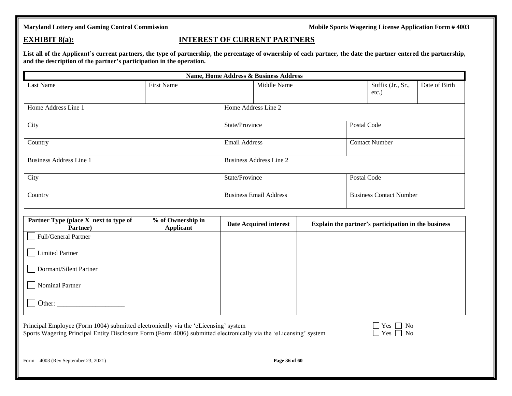### **EXHIBIT 8(a): INTEREST OF CURRENT PARTNERS**

**List all of the Applicant's current partners, the type of partnership, the percentage of ownership of each partner, the date the partner entered the partnership, and the description of the partner's participation in the operation.** 

|                                | Name, Home Address & Business Address |                      |                               |  |                                |               |  |  |
|--------------------------------|---------------------------------------|----------------------|-------------------------------|--|--------------------------------|---------------|--|--|
| Last Name                      | <b>First Name</b>                     | Middle Name          |                               |  | Suffix (Jr., Sr.,<br>etc.)     | Date of Birth |  |  |
| Home Address Line 1            |                                       | Home Address Line 2  |                               |  |                                |               |  |  |
| City                           |                                       | State/Province       |                               |  | Postal Code                    |               |  |  |
| Country                        |                                       | <b>Email Address</b> |                               |  | <b>Contact Number</b>          |               |  |  |
| <b>Business Address Line 1</b> |                                       |                      | Business Address Line 2       |  |                                |               |  |  |
| City                           |                                       | State/Province       |                               |  | Postal Code                    |               |  |  |
| Country                        |                                       |                      | <b>Business Email Address</b> |  | <b>Business Contact Number</b> |               |  |  |

| Partner Type (place X next to type of<br>Partner) | % of Ownership in<br>Applicant | <b>Date Acquired interest</b> | Explain the partner's participation in the business |
|---------------------------------------------------|--------------------------------|-------------------------------|-----------------------------------------------------|
| Full/General Partner                              |                                |                               |                                                     |
| Limited Partner                                   |                                |                               |                                                     |
| Dormant/Silent Partner                            |                                |                               |                                                     |
| Nominal Partner                                   |                                |                               |                                                     |
| Other:                                            |                                |                               |                                                     |

Principal Employee (Form 1004) submitted electronically via the 'eLicensing' system Sports Wagering Principal Entity Disclosure Form (Form 4006) submitted electronically via the 'eLicensing' system

| Y es | √∩ |
|------|----|
| Yes  | √∩ |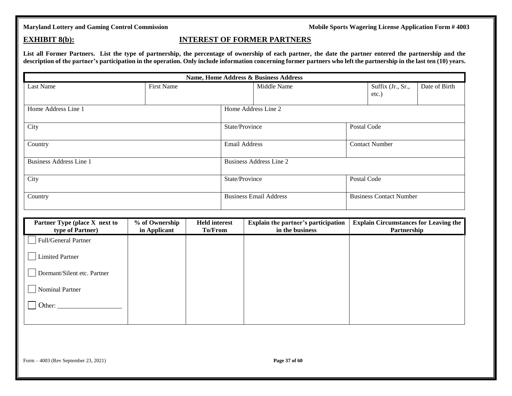### **EXHIBIT 8(b): INTEREST OF FORMER PARTNERS**

**List all Former Partners. List the type of partnership, the percentage of ownership of each partner, the date the partner entered the partnership and the**  description of the partner's participation in the operation. Only include information concerning former partners who left the partnership in the last ten (10) years.

|                                | Name, Home Address & Business Address |                     |                                |                                |                            |               |  |
|--------------------------------|---------------------------------------|---------------------|--------------------------------|--------------------------------|----------------------------|---------------|--|
| Last Name                      | First Name                            |                     | Middle Name                    |                                | Suffix (Jr., Sr.,<br>etc.) | Date of Birth |  |
| Home Address Line 1            |                                       | Home Address Line 2 |                                |                                |                            |               |  |
| City                           |                                       | State/Province      |                                | Postal Code                    |                            |               |  |
| Country                        |                                       | Email Address       |                                | <b>Contact Number</b>          |                            |               |  |
| <b>Business Address Line 1</b> |                                       |                     | <b>Business Address Line 2</b> |                                |                            |               |  |
| City                           |                                       | State/Province      |                                | Postal Code                    |                            |               |  |
| Country                        |                                       |                     | <b>Business Email Address</b>  | <b>Business Contact Number</b> |                            |               |  |

| Partner Type (place X next to<br>type of Partner) | % of Ownership<br>in Applicant | <b>Held</b> interest<br>To/From | Explain the partner's participation<br>in the business | <b>Explain Circumstances for Leaving the</b><br>Partnership |
|---------------------------------------------------|--------------------------------|---------------------------------|--------------------------------------------------------|-------------------------------------------------------------|
| <b>Full/General Partner</b>                       |                                |                                 |                                                        |                                                             |
| <b>Limited Partner</b>                            |                                |                                 |                                                        |                                                             |
| Dormant/Silent etc. Partner                       |                                |                                 |                                                        |                                                             |
| Nominal Partner                                   |                                |                                 |                                                        |                                                             |
| Other:                                            |                                |                                 |                                                        |                                                             |
|                                                   |                                |                                 |                                                        |                                                             |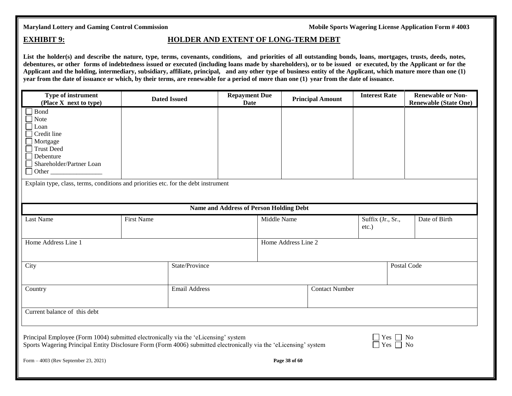### **EXHIBIT 9: HOLDER AND EXTENT OF LONG-TERM DEBT**

List the holder(s) and describe the nature, type, terms, covenants, conditions, and priorities of all outstanding bonds, loans, mortgages, trusts, deeds, notes, debentures, or other forms of indebtedness issued or executed (including loans made by shareholders), or to be issued or executed, by the Applicant or for the Applicant and the holding, intermediary, subsidiary, affiliate, principal, and any other type of business entity of the Applicant, which mature more than one (1) **year from the date of issuance or which, by their terms, are renewable for a period of more than one (1) year from the date of issuance.**

| Type of instrument<br>(Place X next to type)                                                                                                                                                                                                                                                                                                                        | <b>Dated Issued</b>                                                                | <b>Repayment Due</b><br><b>Date</b> | <b>Principal Amount</b> | <b>Interest Rate</b>  | <b>Renewable or Non-</b><br><b>Renewable (State One)</b> |  |  |  |
|---------------------------------------------------------------------------------------------------------------------------------------------------------------------------------------------------------------------------------------------------------------------------------------------------------------------------------------------------------------------|------------------------------------------------------------------------------------|-------------------------------------|-------------------------|-----------------------|----------------------------------------------------------|--|--|--|
| Bond<br>Note<br>Loan<br>Credit line<br>Mortgage<br>Trust Deed<br>Debenture<br>Shareholder/Partner Loan                                                                                                                                                                                                                                                              | Explain type, class, terms, conditions and priorities etc. for the debt instrument |                                     |                         |                       |                                                          |  |  |  |
| <b>Name and Address of Person Holding Debt</b>                                                                                                                                                                                                                                                                                                                      |                                                                                    |                                     |                         |                       |                                                          |  |  |  |
| <b>Last Name</b>                                                                                                                                                                                                                                                                                                                                                    | <b>First Name</b>                                                                  |                                     | Middle Name             |                       | Suffix (Jr., Sr.,<br>Date of Birth                       |  |  |  |
| Home Address Line 1                                                                                                                                                                                                                                                                                                                                                 |                                                                                    |                                     | Home Address Line 2     |                       |                                                          |  |  |  |
| City                                                                                                                                                                                                                                                                                                                                                                | State/Province                                                                     |                                     |                         |                       | Postal Code                                              |  |  |  |
| Country                                                                                                                                                                                                                                                                                                                                                             | <b>Email Address</b>                                                               |                                     |                         | <b>Contact Number</b> |                                                          |  |  |  |
| Current balance of this debt                                                                                                                                                                                                                                                                                                                                        |                                                                                    |                                     |                         |                       |                                                          |  |  |  |
| Principal Employee (Form 1004) submitted electronically via the 'eLicensing' system<br>No<br><b>Yes</b><br>Sports Wagering Principal Entity Disclosure Form (Form 4006) submitted electronically via the 'eLicensing' system<br>N <sub>o</sub><br>Yes<br>$E_{\text{orm}}$ $4002$ (D <sub>ov</sub> Contambor 22, 2021)<br>$\mathbf{D}_{\alpha\alpha\alpha}$ 28 of 60 |                                                                                    |                                     |                         |                       |                                                          |  |  |  |

Form – 4003 (Rev September 23, 2021) **Page 38 of 60**

| age 38 of 60 |
|--------------|
|              |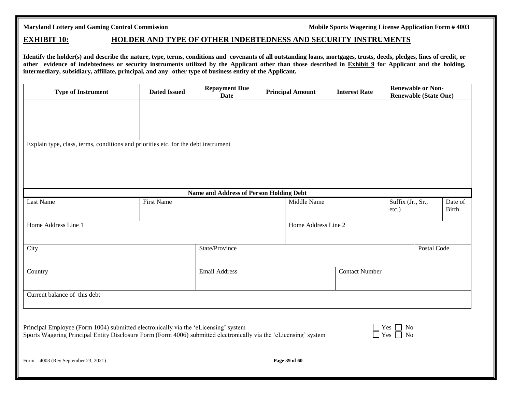### **EXHIBIT 10: HOLDER AND TYPE OF OTHER INDEBTEDNESS AND SECURITY INSTRUMENTS**

Identify the holder(s) and describe the nature, type, terms, conditions and covenants of all outstanding loans, mortgages, trusts, deeds, pledges, lines of credit, or other evidence of indebtedness or security instruments utilized by the Applicant other than those described in Exhibit 9 for Applicant and the holding, **intermediary, subsidiary, affiliate, principal, and any other type of business entity of the Applicant.**

| <b>Type of Instrument</b>                                                          | <b>Dated Issued</b>                                                                                                                                                                                                                     | <b>Repayment Due</b><br><b>Date</b>            | <b>Renewable or Non-</b><br><b>Principal Amount</b><br><b>Interest Rate</b><br><b>Renewable (State One)</b> |                                              |  |             |                         |
|------------------------------------------------------------------------------------|-----------------------------------------------------------------------------------------------------------------------------------------------------------------------------------------------------------------------------------------|------------------------------------------------|-------------------------------------------------------------------------------------------------------------|----------------------------------------------|--|-------------|-------------------------|
|                                                                                    |                                                                                                                                                                                                                                         |                                                |                                                                                                             |                                              |  |             |                         |
|                                                                                    |                                                                                                                                                                                                                                         |                                                |                                                                                                             |                                              |  |             |                         |
| Explain type, class, terms, conditions and priorities etc. for the debt instrument |                                                                                                                                                                                                                                         |                                                |                                                                                                             |                                              |  |             |                         |
|                                                                                    |                                                                                                                                                                                                                                         |                                                |                                                                                                             |                                              |  |             |                         |
|                                                                                    |                                                                                                                                                                                                                                         |                                                |                                                                                                             |                                              |  |             |                         |
|                                                                                    |                                                                                                                                                                                                                                         | <b>Name and Address of Person Holding Debt</b> |                                                                                                             |                                              |  |             |                         |
| Last Name                                                                          | <b>First Name</b>                                                                                                                                                                                                                       |                                                |                                                                                                             | Middle Name<br>Suffix (Jr., Sr.,<br>$etc.$ ) |  |             | Date of<br><b>Birth</b> |
| Home Address Line 1                                                                |                                                                                                                                                                                                                                         |                                                | Home Address Line 2                                                                                         |                                              |  |             |                         |
| City                                                                               |                                                                                                                                                                                                                                         | State/Province                                 |                                                                                                             |                                              |  | Postal Code |                         |
| Country                                                                            |                                                                                                                                                                                                                                         | <b>Email Address</b>                           |                                                                                                             | <b>Contact Number</b>                        |  |             |                         |
| Current balance of this debt                                                       |                                                                                                                                                                                                                                         |                                                |                                                                                                             |                                              |  |             |                         |
|                                                                                    |                                                                                                                                                                                                                                         |                                                |                                                                                                             |                                              |  |             |                         |
|                                                                                    | Principal Employee (Form 1004) submitted electronically via the 'eLicensing' system<br>$Yes \tNo$<br>Yes $\Box$ No<br>Sports Wagering Principal Entity Disclosure Form (Form 4006) submitted electronically via the 'eLicensing' system |                                                |                                                                                                             |                                              |  |             |                         |
| Form - 4003 (Rev September 23, 2021)                                               |                                                                                                                                                                                                                                         |                                                | Page 39 of 60                                                                                               |                                              |  |             |                         |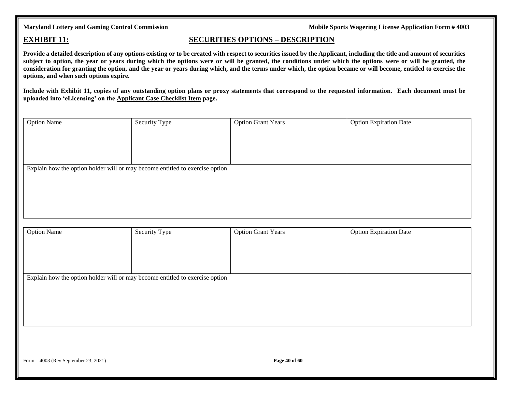### **EXHIBIT 11: SECURITIES OPTIONS – DESCRIPTION**

**Provide a detailed description of any options existing or to be created with respect to securities issued by the Applicant, including the title and amount of securities subject to option, the year or years during which the options were or will be granted, the conditions under which the options were or will be granted, the consideration for granting the option, and the year or years during which, and the terms under which, the option became or will become, entitled to exercise the options, and when such options expire.**

Include with **Exhibit 11**, copies of any outstanding option plans or proxy statements that correspond to the requested information. Each document must be **uploaded into 'eLicensing' on the Applicant Case Checklist Item page.**

| <b>Option Name</b>                                                           | Security Type | <b>Option Grant Years</b> | <b>Option Expiration Date</b> |  |  |  |  |
|------------------------------------------------------------------------------|---------------|---------------------------|-------------------------------|--|--|--|--|
|                                                                              |               |                           |                               |  |  |  |  |
|                                                                              |               |                           |                               |  |  |  |  |
|                                                                              |               |                           |                               |  |  |  |  |
|                                                                              |               |                           |                               |  |  |  |  |
| Explain how the option holder will or may become entitled to exercise option |               |                           |                               |  |  |  |  |
|                                                                              |               |                           |                               |  |  |  |  |
|                                                                              |               |                           |                               |  |  |  |  |
|                                                                              |               |                           |                               |  |  |  |  |
|                                                                              |               |                           |                               |  |  |  |  |
|                                                                              |               |                           |                               |  |  |  |  |
|                                                                              |               |                           |                               |  |  |  |  |

| Security Type                                                                | <b>Option Grant Years</b> | <b>Option Expiration Date</b> |  |  |  |  |  |
|------------------------------------------------------------------------------|---------------------------|-------------------------------|--|--|--|--|--|
|                                                                              |                           |                               |  |  |  |  |  |
|                                                                              |                           |                               |  |  |  |  |  |
|                                                                              |                           |                               |  |  |  |  |  |
|                                                                              |                           |                               |  |  |  |  |  |
| Explain how the option holder will or may become entitled to exercise option |                           |                               |  |  |  |  |  |
|                                                                              |                           |                               |  |  |  |  |  |
|                                                                              |                           |                               |  |  |  |  |  |
|                                                                              |                           |                               |  |  |  |  |  |
|                                                                              |                           |                               |  |  |  |  |  |
|                                                                              |                           |                               |  |  |  |  |  |
|                                                                              |                           |                               |  |  |  |  |  |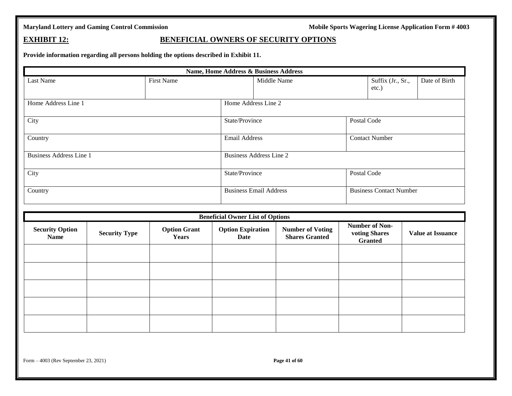### **EXHIBIT 12: BENEFICIAL OWNERS OF SECURITY OPTIONS**

**Provide information regarding all persons holding the options described in Exhibit 11.**

|                                | Name, Home Address & Business Address |                      |                                |                            |                                |               |  |  |
|--------------------------------|---------------------------------------|----------------------|--------------------------------|----------------------------|--------------------------------|---------------|--|--|
| Last Name                      | <b>First Name</b>                     | Middle Name          |                                | Suffix (Jr., Sr.,<br>etc.) |                                | Date of Birth |  |  |
| Home Address Line 1            |                                       | Home Address Line 2  |                                |                            |                                |               |  |  |
| City                           |                                       | State/Province       |                                | Postal Code                |                                |               |  |  |
| Country                        |                                       | <b>Email Address</b> |                                | <b>Contact Number</b>      |                                |               |  |  |
| <b>Business Address Line 1</b> |                                       |                      | <b>Business Address Line 2</b> |                            |                                |               |  |  |
| City                           |                                       | State/Province       |                                | Postal Code                |                                |               |  |  |
| Country                        |                                       |                      | <b>Business Email Address</b>  |                            | <b>Business Contact Number</b> |               |  |  |

|                                       | <b>Beneficial Owner List of Options</b> |                                     |                                         |                                                  |                                                   |                          |  |  |
|---------------------------------------|-----------------------------------------|-------------------------------------|-----------------------------------------|--------------------------------------------------|---------------------------------------------------|--------------------------|--|--|
| <b>Security Option</b><br><b>Name</b> | <b>Security Type</b>                    | <b>Option Grant</b><br><b>Years</b> | <b>Option Expiration</b><br><b>Date</b> | <b>Number of Voting</b><br><b>Shares Granted</b> | Number of Non-<br>voting Shares<br><b>Granted</b> | <b>Value at Issuance</b> |  |  |
|                                       |                                         |                                     |                                         |                                                  |                                                   |                          |  |  |
|                                       |                                         |                                     |                                         |                                                  |                                                   |                          |  |  |
|                                       |                                         |                                     |                                         |                                                  |                                                   |                          |  |  |
|                                       |                                         |                                     |                                         |                                                  |                                                   |                          |  |  |
|                                       |                                         |                                     |                                         |                                                  |                                                   |                          |  |  |

Form – 4003 (Rev September 23, 2021) **Page 41 of 60**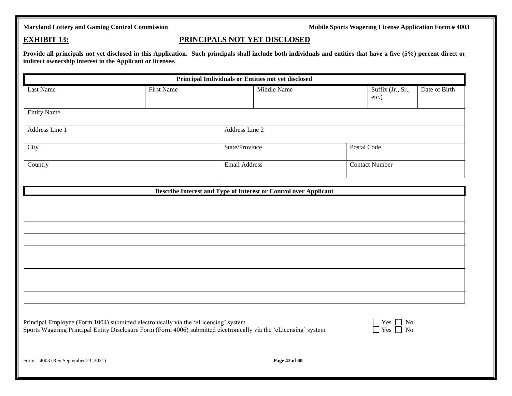### **EXHIBIT 13: PRINCIPALS NOT YET DISCLOSED**

**Provide all principals not yet disclosed in this Application. Such principals shall include both individuals and entities that have a five (5%) percent direct or indirect ownership interest in the Applicant or licensee.**

| Principal Individuals or Entities not yet disclosed |                           |                               |  |                            |  |               |  |  |
|-----------------------------------------------------|---------------------------|-------------------------------|--|----------------------------|--|---------------|--|--|
| Last Name                                           | Middle Name<br>First Name |                               |  | Suffix (Jr., Sr.,<br>etc.) |  | Date of Birth |  |  |
| <b>Entity Name</b>                                  |                           |                               |  |                            |  |               |  |  |
| Address Line 1                                      |                           | Address Line 2                |  |                            |  |               |  |  |
| City                                                |                           | State/Province<br>Postal Code |  |                            |  |               |  |  |
| Country                                             |                           | Email Address                 |  | <b>Contact Number</b>      |  |               |  |  |

| Describe Interest and Type of Interest or Control over Applicant |  |  |  |  |  |
|------------------------------------------------------------------|--|--|--|--|--|
|                                                                  |  |  |  |  |  |
|                                                                  |  |  |  |  |  |
|                                                                  |  |  |  |  |  |
|                                                                  |  |  |  |  |  |
|                                                                  |  |  |  |  |  |
|                                                                  |  |  |  |  |  |
|                                                                  |  |  |  |  |  |
|                                                                  |  |  |  |  |  |
|                                                                  |  |  |  |  |  |
|                                                                  |  |  |  |  |  |
|                                                                  |  |  |  |  |  |

| Principal Employee (Form 1004) submitted electronically via the 'eLicensing' system                               | $\Box$ Yes $\Box$ No |
|-------------------------------------------------------------------------------------------------------------------|----------------------|
| Sports Wagering Principal Entity Disclosure Form (Form 4006) submitted electronically via the 'eLicensing' system | $\Box$ Yes $\Box$ No |

| r es | √∩ |
|------|----|
| ۷Ας  | √∩ |

Form – 4003 (Rev September 23, 2021) **Page 42 of 60**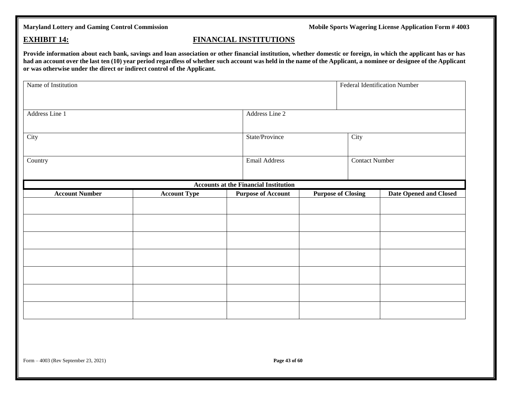### **EXHIBIT 14: FINANCIAL INSTITUTIONS**

**Provide information about each bank, savings and loan association or other financial institution, whether domestic or foreign, in which the applicant has or has had an account over the last ten (10) year period regardless of whether such account was held in the name of the Applicant, a nominee or designee of the Applicant or was otherwise under the direct or indirect control of the Applicant.**

| Name of Institution   |                                              |  |                           |                           |                | <b>Federal Identification Number</b> |  |
|-----------------------|----------------------------------------------|--|---------------------------|---------------------------|----------------|--------------------------------------|--|
| Address Line 1        |                                              |  | Address Line 2            |                           |                |                                      |  |
| City                  |                                              |  | State/Province            |                           | City           |                                      |  |
| Country               |                                              |  | <b>Email Address</b>      |                           | Contact Number |                                      |  |
|                       | <b>Accounts at the Financial Institution</b> |  |                           |                           |                |                                      |  |
| <b>Account Number</b> | <b>Account Type</b>                          |  | <b>Purpose of Account</b> | <b>Purpose of Closing</b> |                | <b>Date Opened and Closed</b>        |  |
|                       |                                              |  |                           |                           |                |                                      |  |
|                       |                                              |  |                           |                           |                |                                      |  |
|                       |                                              |  |                           |                           |                |                                      |  |
|                       |                                              |  |                           |                           |                |                                      |  |
|                       |                                              |  |                           |                           |                |                                      |  |
|                       |                                              |  |                           |                           |                |                                      |  |
|                       |                                              |  |                           |                           |                |                                      |  |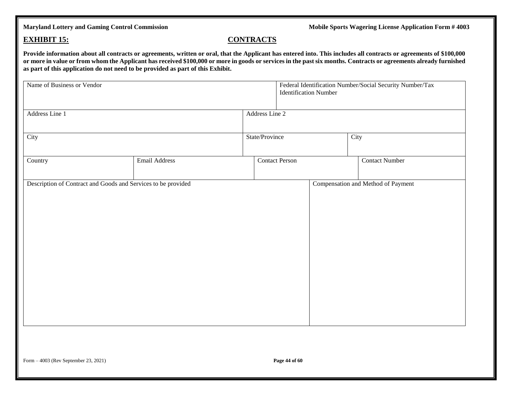### **EXHIBIT 15: CONTRACTS**

**Provide information about all contracts or agreements, written or oral, that the Applicant has entered into. This includes all contracts or agreements of \$100,000 or more in value or from whom the Applicant has received \$100,000 or more in goods or services in the past six months. Contracts or agreements already furnished as part of this application do not need to be provided as part of this Exhibit.**

| Name of Business or Vendor                                    |               | Federal Identification Number/Social Security Number/Tax<br><b>Identification Number</b> |  |  |                                    |  |
|---------------------------------------------------------------|---------------|------------------------------------------------------------------------------------------|--|--|------------------------------------|--|
| Address Line 1                                                |               | Address Line 2                                                                           |  |  |                                    |  |
| City                                                          |               | State/Province                                                                           |  |  | City                               |  |
| Country                                                       | Email Address | <b>Contact Person</b>                                                                    |  |  | <b>Contact Number</b>              |  |
| Description of Contract and Goods and Services to be provided |               |                                                                                          |  |  | Compensation and Method of Payment |  |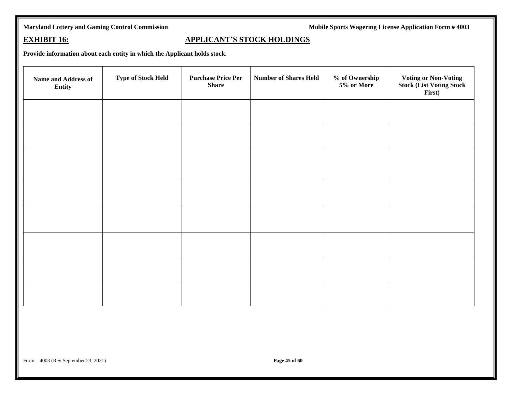### **EXHIBIT 16: APPLICANT'S STOCK HOLDINGS**

**Provide information about each entity in which the Applicant holds stock.**

| <b>Name and Address of</b><br>Entity | <b>Type of Stock Held</b> | <b>Purchase Price Per</b><br><b>Share</b> | <b>Number of Shares Held</b> | % of Ownership<br>5% or More | <b>Voting or Non-Voting</b><br><b>Stock (List Voting Stock</b><br>First) |
|--------------------------------------|---------------------------|-------------------------------------------|------------------------------|------------------------------|--------------------------------------------------------------------------|
|                                      |                           |                                           |                              |                              |                                                                          |
|                                      |                           |                                           |                              |                              |                                                                          |
|                                      |                           |                                           |                              |                              |                                                                          |
|                                      |                           |                                           |                              |                              |                                                                          |
|                                      |                           |                                           |                              |                              |                                                                          |
|                                      |                           |                                           |                              |                              |                                                                          |
|                                      |                           |                                           |                              |                              |                                                                          |
|                                      |                           |                                           |                              |                              |                                                                          |
|                                      |                           |                                           |                              |                              |                                                                          |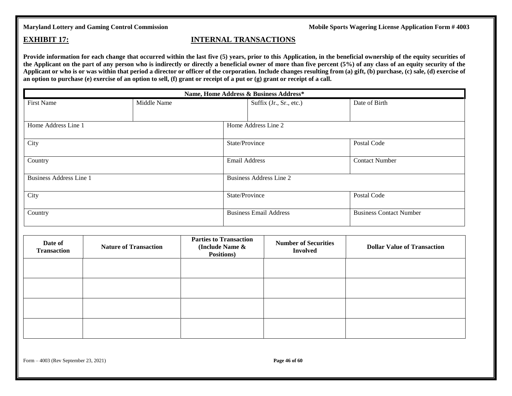### **EXHIBIT 17: INTERNAL TRANSACTIONS**

Provide information for each change that occurred within the last five (5) years, prior to this Application, in the beneficial ownership of the equity securities of **the Applicant on the part of any person who is indirectly or directly a beneficial owner of more than five percent (5%) of any class of an equity security of the Applicant or who is or was within that period a director or officer of the corporation. Include changes resulting from (a) gift, (b) purchase, (c) sale, (d) exercise of an option to purchase (e) exercise of an option to sell, (f) grant or receipt of a put or (g) grant or receipt of a call.**

|                                | Name, Home Address & Business Address* |                                |                               |                                |  |  |  |
|--------------------------------|----------------------------------------|--------------------------------|-------------------------------|--------------------------------|--|--|--|
| <b>First Name</b>              | Middle Name                            |                                | Suffix (Jr., Sr., etc.)       | Date of Birth                  |  |  |  |
|                                |                                        |                                |                               |                                |  |  |  |
| Home Address Line 1            |                                        | Home Address Line 2            |                               |                                |  |  |  |
| City                           |                                        | State/Province                 |                               | Postal Code                    |  |  |  |
| Country                        |                                        |                                | <b>Email Address</b>          | <b>Contact Number</b>          |  |  |  |
| <b>Business Address Line 1</b> |                                        | <b>Business Address Line 2</b> |                               |                                |  |  |  |
| City                           |                                        | State/Province                 |                               | Postal Code                    |  |  |  |
| Country                        |                                        |                                | <b>Business Email Address</b> | <b>Business Contact Number</b> |  |  |  |

| Date of<br><b>Transaction</b> | <b>Nature of Transaction</b> | <b>Parties to Transaction</b><br>(Include Name &<br><b>Positions</b> ) | <b>Number of Securities</b><br>Involved | <b>Dollar Value of Transaction</b> |
|-------------------------------|------------------------------|------------------------------------------------------------------------|-----------------------------------------|------------------------------------|
|                               |                              |                                                                        |                                         |                                    |
|                               |                              |                                                                        |                                         |                                    |
|                               |                              |                                                                        |                                         |                                    |
|                               |                              |                                                                        |                                         |                                    |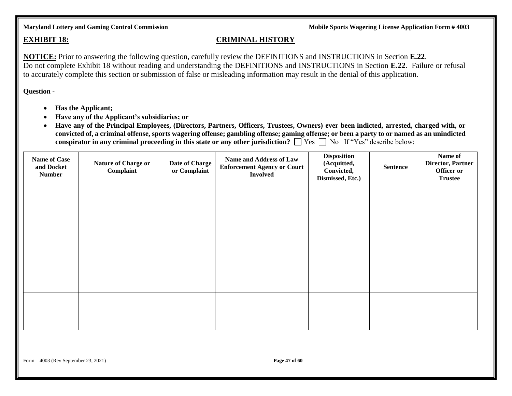## **EXHIBIT 18: CRIMINAL HISTORY**

**NOTICE:** Prior to answering the following question, carefully review the DEFINITIONS and INSTRUCTIONS in Section **E.22**. Do not complete Exhibit 18 without reading and understanding the DEFINITIONS and INSTRUCTIONS in Section **E.22**. Failure or refusal to accurately complete this section or submission of false or misleading information may result in the denial of this application.

### **Question -**

- **Has the Applicant;**
- **Have any of the Applicant's subsidiaries; or**
- **Have any of the Principal Employees, (Directors, Partners, Officers, Trustees, Owners) ever been indicted, arrested, charged with, or convicted of, a criminal offense, sports wagering offense; gambling offense; gaming offense; or been a party to or named as an unindicted conspirator in any criminal proceeding in this state or any other jurisdiction?**  $\Box$  Yes  $\Box$  No If "Yes" describe below:

| Name of Case<br>and Docket<br><b>Number</b> | Nature of Charge or<br>Complaint | Date of Charge<br>or Complaint | Name and Address of Law<br><b>Enforcement Agency or Court</b><br><b>Involved</b> | <b>Disposition</b><br>(Acquitted,<br><b>Sentence</b><br>Convicted,<br>Dismissed, Etc.) |  | Name of<br><b>Director, Partner</b><br>Officer or<br><b>Trustee</b> |
|---------------------------------------------|----------------------------------|--------------------------------|----------------------------------------------------------------------------------|----------------------------------------------------------------------------------------|--|---------------------------------------------------------------------|
|                                             |                                  |                                |                                                                                  |                                                                                        |  |                                                                     |
|                                             |                                  |                                |                                                                                  |                                                                                        |  |                                                                     |
|                                             |                                  |                                |                                                                                  |                                                                                        |  |                                                                     |
|                                             |                                  |                                |                                                                                  |                                                                                        |  |                                                                     |
|                                             |                                  |                                |                                                                                  |                                                                                        |  |                                                                     |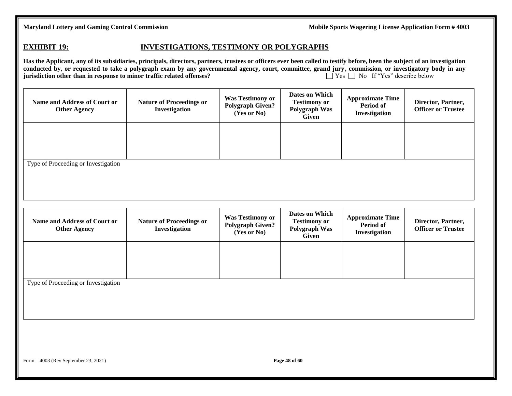### **EXHIBIT 19: INVESTIGATIONS, TESTIMONY OR POLYGRAPHS**

**Has the Applicant, any of its subsidiaries, principals, directors, partners, trustees or officers ever been called to testify before, been the subject of an investigation**  conducted by, or requested to take a polygraph exam by any governmental agency, court, committee, grand jury, commission, or investigatory body in any jurisdiction other than in response to minor traffic related offenses?<br> jurisdiction other than in response to minor traffic related offenses?

| Name and Address of Court or<br><b>Other Agency</b> | <b>Nature of Proceedings or</b><br>Investigation | <b>Was Testimony or</b><br><b>Polygraph Given?</b><br>$(Yes$ or $No)$ | Dates on Which<br><b>Testimony or</b><br>Polygraph Was<br>Given | <b>Approximate Time</b><br>Period of<br>Investigation | Director, Partner,<br><b>Officer or Trustee</b> |
|-----------------------------------------------------|--------------------------------------------------|-----------------------------------------------------------------------|-----------------------------------------------------------------|-------------------------------------------------------|-------------------------------------------------|
|                                                     |                                                  |                                                                       |                                                                 |                                                       |                                                 |
| Type of Proceeding or Investigation                 |                                                  |                                                                       |                                                                 |                                                       |                                                 |

| Name and Address of Court or<br><b>Other Agency</b> | <b>Nature of Proceedings or</b><br>Investigation | <b>Was Testimony or</b><br><b>Polygraph Given?</b><br>$(Yes$ or $No)$ | Dates on Which<br><b>Testimony or</b><br>Polygraph Was<br>Given | <b>Approximate Time</b><br>Period of<br>Investigation | Director, Partner,<br><b>Officer or Trustee</b> |
|-----------------------------------------------------|--------------------------------------------------|-----------------------------------------------------------------------|-----------------------------------------------------------------|-------------------------------------------------------|-------------------------------------------------|
|                                                     |                                                  |                                                                       |                                                                 |                                                       |                                                 |
|                                                     |                                                  |                                                                       |                                                                 |                                                       |                                                 |
|                                                     |                                                  |                                                                       |                                                                 |                                                       |                                                 |
| Type of Proceeding or Investigation                 |                                                  |                                                                       |                                                                 |                                                       |                                                 |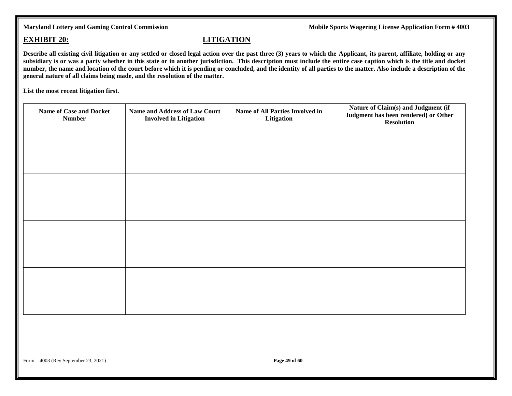### **EXHIBIT 20: LITIGATION**

**Describe all existing civil litigation or any settled or closed legal action over the past three (3) years to which the Applicant, its parent, affiliate, holding or any subsidiary is or was a party whether in this state or in another jurisdiction. This description must include the entire case caption which is the title and docket number, the name and location of the court before which it is pending or concluded, and the identity of all parties to the matter. Also include a description of the general nature of all claims being made, and the resolution of the matter.**

**List the most recent litigation first.**

| <b>Name of Case and Docket</b><br><b>Number</b> | Name and Address of Law Court<br><b>Involved in Litigation</b> | Name of All Parties Involved in<br>Litigation | Nature of Claim(s) and Judgment (if<br>Judgment has been rendered) or Other<br><b>Resolution</b> |
|-------------------------------------------------|----------------------------------------------------------------|-----------------------------------------------|--------------------------------------------------------------------------------------------------|
|                                                 |                                                                |                                               |                                                                                                  |
|                                                 |                                                                |                                               |                                                                                                  |
|                                                 |                                                                |                                               |                                                                                                  |
|                                                 |                                                                |                                               |                                                                                                  |
|                                                 |                                                                |                                               |                                                                                                  |
|                                                 |                                                                |                                               |                                                                                                  |
|                                                 |                                                                |                                               |                                                                                                  |
|                                                 |                                                                |                                               |                                                                                                  |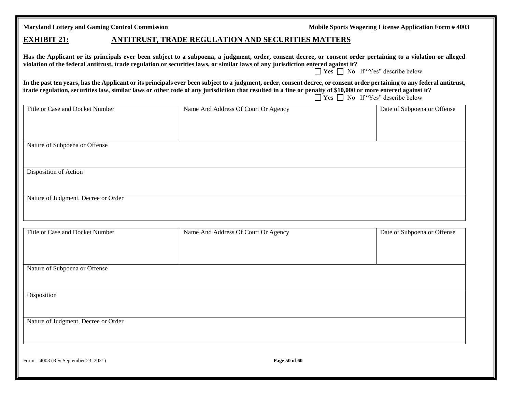### **EXHIBIT 21: ANTITRUST, TRADE REGULATION AND SECURITIES MATTERS**

**Has the Applicant or its principals ever been subject to a subpoena, a judgment, order, consent decree, or consent order pertaining to a violation or alleged violation of the federal antitrust, trade regulation or securities laws, or similar laws of any jurisdiction entered against it?** 

|  |  |  |  | $\Box$ Yes $\Box$ No If "Yes" describe below |  |  |
|--|--|--|--|----------------------------------------------|--|--|
|--|--|--|--|----------------------------------------------|--|--|

**In the past ten years, has the Applicant or its principals ever been subject to a judgment, order, consent decree, or consent order pertaining to any federal antitrust, trade regulation, securities law, similar laws or other code of any jurisdiction that resulted in a fine or penalty of \$10,000 or more entered against it?**  $\Box$  Yes  $\Box$  No If "Yes" describe below

| Title or Case and Docket Number     | Name And Address Of Court Or Agency | Date of Subpoena or Offense |
|-------------------------------------|-------------------------------------|-----------------------------|
|                                     |                                     |                             |
|                                     |                                     |                             |
| Nature of Subpoena or Offense       |                                     |                             |
|                                     |                                     |                             |
| Disposition of Action               |                                     |                             |
|                                     |                                     |                             |
| Nature of Judgment, Decree or Order |                                     |                             |
|                                     |                                     |                             |
|                                     |                                     |                             |
| Title or Case and Docket Number     | Name And Address Of Court Or Agency | Date of Subpoena or Offense |
|                                     |                                     |                             |
|                                     |                                     |                             |
| Nature of Subpoena or Offense       |                                     |                             |
|                                     |                                     |                             |
| Disposition                         |                                     |                             |
|                                     |                                     |                             |
| Nature of Judgment, Decree or Order |                                     |                             |
|                                     |                                     |                             |
|                                     |                                     |                             |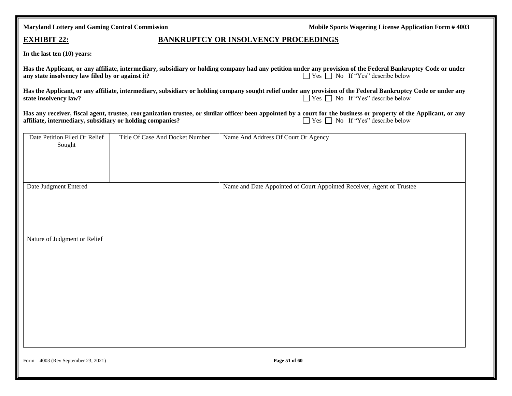| <b>Maryland Lottery and Gaming Control Commission</b>     |                                 |                                             | Mobile Sports Wagering License Application Form # 4003                                                                                                                                                              |
|-----------------------------------------------------------|---------------------------------|---------------------------------------------|---------------------------------------------------------------------------------------------------------------------------------------------------------------------------------------------------------------------|
| <b>EXHIBIT 22:</b>                                        |                                 | <b>BANKRUPTCY OR INSOLVENCY PROCEEDINGS</b> |                                                                                                                                                                                                                     |
| In the last ten $(10)$ years:                             |                                 |                                             |                                                                                                                                                                                                                     |
| any state insolvency law filed by or against it?          |                                 |                                             | Has the Applicant, or any affiliate, intermediary, subsidiary or holding company had any petition under any provision of the Federal Bankruptcy Code or under<br>$\Box$ Yes $\Box$ No If "Yes" describe below       |
| state insolvency law?                                     |                                 |                                             | Has the Applicant, or any affiliate, intermediary, subsidiary or holding company sought relief under any provision of the Federal Bankruptcy Code or under any<br>$\Box$ Yes $\Box$ No If "Yes" describe below      |
| affiliate, intermediary, subsidiary or holding companies? |                                 |                                             | Has any receiver, fiscal agent, trustee, reorganization trustee, or similar officer been appointed by a court for the business or property of the Applicant, or any<br>$\Box$ Yes $\Box$ No If "Yes" describe below |
| Date Petition Filed Or Relief<br>Sought                   | Title Of Case And Docket Number | Name And Address Of Court Or Agency         |                                                                                                                                                                                                                     |
| Date Judgment Entered                                     |                                 |                                             | Name and Date Appointed of Court Appointed Receiver, Agent or Trustee                                                                                                                                               |
| Nature of Judgment or Relief                              |                                 |                                             |                                                                                                                                                                                                                     |
|                                                           |                                 |                                             |                                                                                                                                                                                                                     |
|                                                           |                                 |                                             |                                                                                                                                                                                                                     |
|                                                           |                                 |                                             |                                                                                                                                                                                                                     |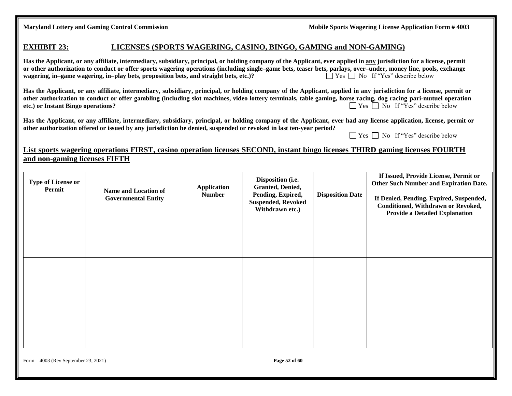### **EXHIBIT 23: LICENSES (SPORTS WAGERING, CASINO, BINGO, GAMING and NON-GAMING)**

**Has the Applicant, or any affiliate, intermediary, subsidiary, principal, or holding company of the Applicant, ever applied in any jurisdiction for a license, permit or other authorization to conduct or offer sports wagering operations (including single–game bets, teaser bets, parlays, over–under, money line, pools, exchange wagering, in–game wagering, in–play bets, proposition bets, and straight bets, etc.)?**  $\Box$  Yes  $\Box$  No If "Yes" describe below

**Has the Applicant, or any affiliate, intermediary, subsidiary, principal, or holding company of the Applicant, applied in any jurisdiction for a license, permit or other authorization to conduct or offer gambling (including slot machines, video lottery terminals, table gaming, horse racing, dog racing pari-mutuel operation etc.)** or Instant Bingo operations? **and Superations example 2018** The Superations of  $\Box$  Yes  $\Box$  No If "Yes" describe below

**Has the Applicant, or any affiliate, intermediary, subsidiary, principal, or holding company of the Applicant, ever had any license application, license, permit or other authorization offered or issued by any jurisdiction be denied, suspended or revoked in last ten-year period?**   $\Box$ 

|  |  |  |  | Pres ■ No If "Yes" describe below |  |  |
|--|--|--|--|-----------------------------------|--|--|
|--|--|--|--|-----------------------------------|--|--|

### **List sports wagering operations FIRST, casino operation licenses SECOND, instant bingo licenses THIRD gaming licenses FOURTH and non-gaming licenses FIFTH**

| <b>Type of License or</b><br>Permit | Name and Location of<br><b>Governmental Entity</b> | <b>Application</b><br><b>Number</b> | Disposition (i.e.<br><b>Granted, Denied,</b><br>Pending, Expired,<br><b>Suspended, Revoked</b><br>Withdrawn etc.) | <b>Disposition Date</b> | If Issued, Provide License, Permit or<br>Other Such Number and Expiration Date.<br>If Denied, Pending, Expired, Suspended,<br>Conditioned, Withdrawn or Revoked,<br><b>Provide a Detailed Explanation</b> |
|-------------------------------------|----------------------------------------------------|-------------------------------------|-------------------------------------------------------------------------------------------------------------------|-------------------------|-----------------------------------------------------------------------------------------------------------------------------------------------------------------------------------------------------------|
|                                     |                                                    |                                     |                                                                                                                   |                         |                                                                                                                                                                                                           |
|                                     |                                                    |                                     |                                                                                                                   |                         |                                                                                                                                                                                                           |
|                                     |                                                    |                                     |                                                                                                                   |                         |                                                                                                                                                                                                           |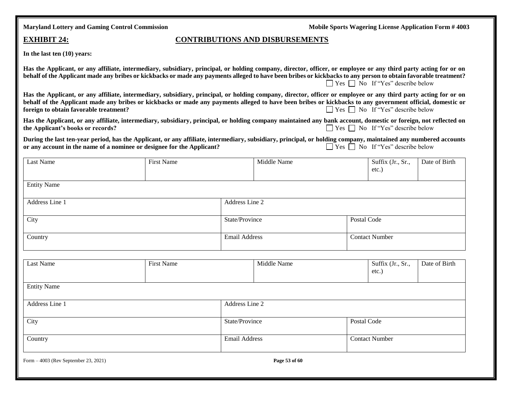| <b>Maryland Lottery and Gaming Control Commission</b> |  |  |  |
|-------------------------------------------------------|--|--|--|
|-------------------------------------------------------|--|--|--|

**Mobile Sports Wagering License Application Form # 4003** 

### **EXHIBIT 24: CONTRIBUTIONS AND DISBURSEMENTS**

**In the last ten (10) years:**

| Has the Applicant, or any affiliate, intermediary, subsidiary, principal, or holding company, director, officer, or employee or any third party acting for or on |
|------------------------------------------------------------------------------------------------------------------------------------------------------------------|
| behalf of the Applicant made any bribes or kickbacks or made any payments alleged to have been bribes or kickbacks to any person to obtain favorable treatment?  |
| $\Box$ Yes $\Box$ No If "Yes" describe below                                                                                                                     |

**Has the Applicant, or any affiliate, intermediary, subsidiary, principal, or holding company, director, officer or employee or any third party acting for or on behalf of the Applicant made any bribes or kickbacks or made any payments alleged to have been bribes or kickbacks to any government official, domestic or <b>foreign** to obtain favorable treatment? **for**  $\bigcap$  **Yes**  $\bigcap$  **No If "Yes" describe below** 

**Has the Applicant, or any affiliate, intermediary, subsidiary, principal, or holding company maintained any bank account, domestic or foreign, not reflected on the Applicant's books or records?**  $\Box$  Yes  $\Box$  No If "Yes" describe below

**During the last ten-year period, has the Applicant, or any affiliate, intermediary, subsidiary, principal, or holding company, maintained any numbered accounts or any account in the name of a nominee or designee for the A** or any account in the name of a nominee or designee for the Applicant?

| Last Name                            | <b>First Name</b> |                      | Middle Name    |             | Suffix (Jr., Sr.,<br>etc.)    | Date of Birth |
|--------------------------------------|-------------------|----------------------|----------------|-------------|-------------------------------|---------------|
| <b>Entity Name</b>                   |                   |                      |                |             |                               |               |
| Address Line 1                       |                   | Address Line 2       |                |             |                               |               |
| City                                 |                   |                      | State/Province | Postal Code |                               |               |
| Country                              |                   | Email Address        |                |             | <b>Contact Number</b>         |               |
| Last Name                            | <b>First Name</b> |                      | Middle Name    |             | Suffix (Jr., Sr.,<br>$etc.$ ) | Date of Birth |
| <b>Entity Name</b>                   |                   |                      |                |             |                               |               |
| Address Line 1                       |                   | Address Line 2       |                |             |                               |               |
| City                                 |                   | State/Province       |                | Postal Code |                               |               |
| Country                              |                   | <b>Email Address</b> |                |             | <b>Contact Number</b>         |               |
| Form - 4003 (Rev September 23, 2021) |                   |                      | Page 53 of 60  |             |                               |               |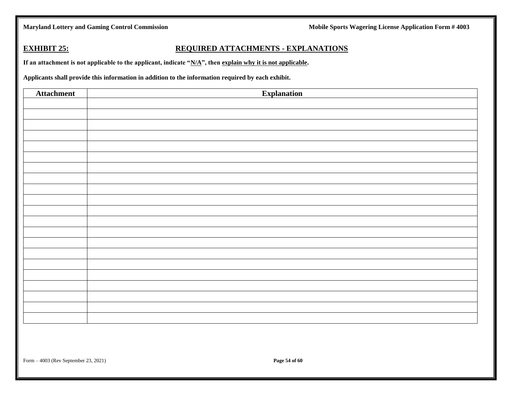### **EXHIBIT 25: REQUIRED ATTACHMENTS - EXPLANATIONS**

**If an attachment is not applicable to the applicant, indicate "N/A", then explain why it is not applicable.** 

**Applicants shall provide this information in addition to the information required by each exhibit.** 

| Attachment | <b>Explanation</b> |
|------------|--------------------|
|            |                    |
|            |                    |
|            |                    |
|            |                    |
|            |                    |
|            |                    |
|            |                    |
|            |                    |
|            |                    |
|            |                    |
|            |                    |
|            |                    |
|            |                    |
|            |                    |
|            |                    |
|            |                    |
|            |                    |
|            |                    |
|            |                    |
|            |                    |
|            |                    |
|            |                    |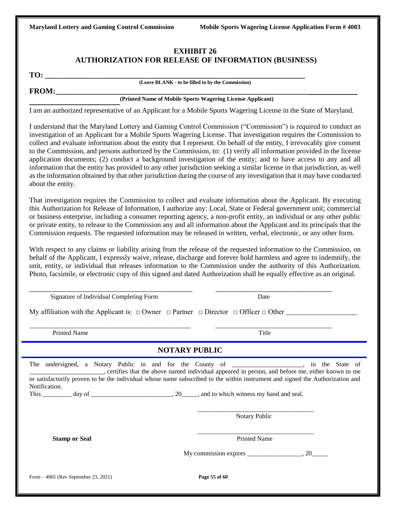### **EXHIBIT 26 AUTHORIZATION FOR RELEASE OF INFORMATION (BUSINESS)**

**TO: \_\_\_\_\_\_\_\_\_\_\_\_\_\_\_\_\_\_\_\_\_\_\_\_\_\_\_\_\_\_\_\_\_\_\_\_\_\_\_\_\_\_\_\_\_\_\_\_\_\_\_\_\_\_\_\_\_\_\_\_\_\_\_\_\_\_\_**

**(Leave BLANK - to be filled in by the Commission)**

**FROM:** 

**\_\_\_\_\_\_\_\_\_\_\_\_\_\_\_\_\_\_\_\_ (Printed Name of Mobile Sports Wagering License Applicant)**

I am an authorized representative of an Applicant for a Mobile Sports Wagering License in the State of Maryland.

I understand that the Maryland Lottery and Gaming Control Commission ("Commission") is required to conduct an investigation of an Applicant for a Mobile Sports Wagering License. That investigation requires the Commission to collect and evaluate information about the entity that I represent. On behalf of the entity, I irrevocably give consent to the Commission, and persons authorized by the Commission, to: (1) verify all information provided in the license application documents; (2) conduct a background investigation of the entity; and to have access to any and all information that the entity has provided to any other jurisdiction seeking a similar license in that jurisdiction, as well as the information obtained by that other jurisdiction during the course of any investigation that it may have conducted about the entity.

That investigation requires the Commission to collect and evaluate information about the Applicant. By executing this Authorization for Release of Information, I authorize any: Local, State or Federal government unit; commercial or business enterprise, including a consumer reporting agency, a non-profit entity, an individual or any other public or private entity, to release to the Commission any and all information about the Applicant and its principals that the Commission requests. The requested information may be released in written, verbal, electronic, or any other form.

With respect to any claims or liability arising from the release of the requested information to the Commission, on behalf of the Applicant, I expressly waive, release, discharge and forever hold harmless and agree to indemnify, the unit, entity, or individual that releases information to the Commission under the authority of this Authorization. Photo, facsimile, or electronic copy of this signed and dated Authorization shall be equally effective as an original.

| Signature of Individual Completing Form                                                                                                        | Date                                                                                                                                                                                                            |
|------------------------------------------------------------------------------------------------------------------------------------------------|-----------------------------------------------------------------------------------------------------------------------------------------------------------------------------------------------------------------|
| My affiliation with the Applicant is: $\Box$ Owner $\Box$ Partner $\Box$ Director $\Box$ Officer $\Box$ Other                                  |                                                                                                                                                                                                                 |
| Printed Name                                                                                                                                   | Title                                                                                                                                                                                                           |
| <b>NOTARY PUBLIC</b>                                                                                                                           |                                                                                                                                                                                                                 |
| or satisfactorily proven to be the individual whose name subscribed to the within instrument and signed the Authorization and<br>Notification. | The undersigned, a Notary Public in and for the County of _________________, in the State of<br>ertifies that the above named individual appeared in person, and before me, either known to me<br>Notary Public |
| <b>Stamp or Seal</b>                                                                                                                           | <b>Printed Name</b>                                                                                                                                                                                             |
| Form $-4001$ (Rev September 23, 2021)                                                                                                          | Page 55 of 60                                                                                                                                                                                                   |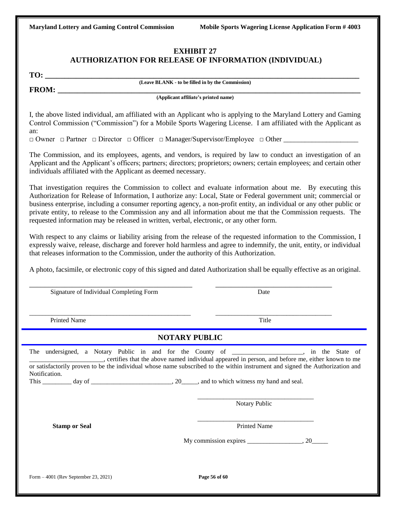### **EXHIBIT 27 AUTHORIZATION FOR RELEASE OF INFORMATION (INDIVIDUAL)**

**TO: \_\_\_\_\_\_\_\_\_\_\_\_\_\_\_\_\_\_\_\_\_\_\_\_\_\_\_\_\_\_\_\_\_\_\_\_\_\_\_\_\_\_\_\_\_\_\_\_\_\_\_\_\_\_\_\_\_\_\_\_\_\_\_\_\_\_\_\_\_\_\_\_\_\_\_\_\_\_\_\_\_**

**(Leave BLANK - to be filled in by the Commission)**

**FROM: \_\_\_\_\_\_\_\_\_\_\_\_\_\_\_\_\_\_\_\_\_\_\_\_\_\_\_\_\_\_\_\_\_\_\_\_\_\_\_\_\_\_\_\_\_\_\_\_\_\_\_\_\_\_\_\_\_\_\_\_\_\_\_\_\_\_\_\_\_\_\_\_\_\_\_\_\_\_**

**(Applicant affiliate's printed name)**

I, the above listed individual, am affiliated with an Applicant who is applying to the Maryland Lottery and Gaming Control Commission ("Commission") for a Mobile Sports Wagering License. I am affiliated with the Applicant as an:

 $\Box$  Owner  $\Box$  Partner  $\Box$  Director  $\Box$  Officer  $\Box$  Manager/Supervisor/Employee  $\Box$  Other

The Commission, and its employees, agents, and vendors, is required by law to conduct an investigation of an Applicant and the Applicant's officers; partners; directors; proprietors; owners; certain employees; and certain other individuals affiliated with the Applicant as deemed necessary.

That investigation requires the Commission to collect and evaluate information about me. By executing this Authorization for Release of Information, I authorize any: Local, State or Federal government unit; commercial or business enterprise, including a consumer reporting agency, a non-profit entity, an individual or any other public or private entity, to release to the Commission any and all information about me that the Commission requests. The requested information may be released in written, verbal, electronic, or any other form.

With respect to any claims or liability arising from the release of the requested information to the Commission, I expressly waive, release, discharge and forever hold harmless and agree to indemnify, the unit, entity, or individual that releases information to the Commission, under the authority of this Authorization.

A photo, facsimile, or electronic copy of this signed and dated Authorization shall be equally effective as an original.

\_\_\_\_\_\_\_\_\_\_\_\_\_\_\_\_\_\_\_\_\_\_\_\_\_\_\_\_\_\_\_\_\_\_\_\_\_\_\_\_\_\_ \_\_\_\_\_\_\_\_\_\_\_\_\_\_\_\_\_\_\_\_\_\_\_\_\_\_\_\_\_\_

| Signature of Individual Completing Form                                                                                                                                                                                                      | Date                                                                                            |
|----------------------------------------------------------------------------------------------------------------------------------------------------------------------------------------------------------------------------------------------|-------------------------------------------------------------------------------------------------|
| <b>Printed Name</b>                                                                                                                                                                                                                          | Title                                                                                           |
| <b>NOTARY PUBLIC</b>                                                                                                                                                                                                                         |                                                                                                 |
| The undersigned, a Notary Public in and for the County of _______________, in the State of<br>or satisfactorily proven to be the individual whose name subscribed to the within instrument and signed the Authorization and<br>Notification. | certifies that the above named individual appeared in person, and before me, either known to me |
|                                                                                                                                                                                                                                              | Notary Public                                                                                   |
| <b>Stamp or Seal</b>                                                                                                                                                                                                                         | <b>Printed Name</b>                                                                             |
|                                                                                                                                                                                                                                              | My commission expires $\frac{\ }{\ }$                                                           |
|                                                                                                                                                                                                                                              |                                                                                                 |
| Form $-4001$ (Rev September 23, 2021)                                                                                                                                                                                                        | Page 56 of 60                                                                                   |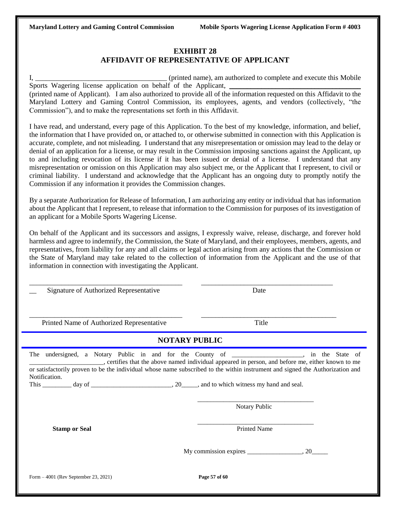### **EXHIBIT 28 AFFIDAVIT OF REPRESENTATIVE OF APPLICANT**

I, \_\_\_\_\_\_\_\_\_\_\_\_\_\_\_\_\_\_\_\_\_\_\_\_\_\_\_\_\_\_\_\_\_\_\_\_\_ (printed name), am authorized to complete and execute this Mobile Sports Wagering license application on behalf of the Applicant, (printed name of Applicant). I am also authorized to provide all of the information requested on this Affidavit to the Maryland Lottery and Gaming Control Commission, its employees, agents, and vendors (collectively, "the Commission"), and to make the representations set forth in this Affidavit.

I have read, and understand, every page of this Application. To the best of my knowledge, information, and belief, the information that I have provided on, or attached to, or otherwise submitted in connection with this Application is accurate, complete, and not misleading. I understand that any misrepresentation or omission may lead to the delay or denial of an application for a license, or may result in the Commission imposing sanctions against the Applicant, up to and including revocation of its license if it has been issued or denial of a license. I understand that any misrepresentation or omission on this Application may also subject me, or the Applicant that I represent, to civil or criminal liability. I understand and acknowledge that the Applicant has an ongoing duty to promptly notify the Commission if any information it provides the Commission changes.

By a separate Authorization for Release of Information, I am authorizing any entity or individual that has information about the Applicant that I represent, to release that information to the Commission for purposes of its investigation of an applicant for a Mobile Sports Wagering License.

On behalf of the Applicant and its successors and assigns, I expressly waive, release, discharge, and forever hold harmless and agree to indemnify, the Commission, the State of Maryland, and their employees, members, agents, and representatives, from liability for any and all claims or legal action arising from any actions that the Commission or the State of Maryland may take related to the collection of information from the Applicant and the use of that information in connection with investigating the Applicant.

| Signature of Authorized Representative                                                                                                                                                                                                         | Date                                                                                                               |  |  |
|------------------------------------------------------------------------------------------------------------------------------------------------------------------------------------------------------------------------------------------------|--------------------------------------------------------------------------------------------------------------------|--|--|
| Printed Name of Authorized Representative                                                                                                                                                                                                      | Title                                                                                                              |  |  |
| <b>NOTARY PUBLIC</b>                                                                                                                                                                                                                           |                                                                                                                    |  |  |
| The undersigned, a Notary Public in and for the County of _________________, in the State of<br>or satisfactorily proven to be the individual whose name subscribed to the within instrument and signed the Authorization and<br>Notification. | , certifies that the above named individual appeared in person, and before me, either known to me<br>Notary Public |  |  |
| <b>Stamp or Seal</b>                                                                                                                                                                                                                           | <b>Printed Name</b>                                                                                                |  |  |
|                                                                                                                                                                                                                                                |                                                                                                                    |  |  |
| Form - 4001 (Rev September 23, 2021)                                                                                                                                                                                                           | Page 57 of 60                                                                                                      |  |  |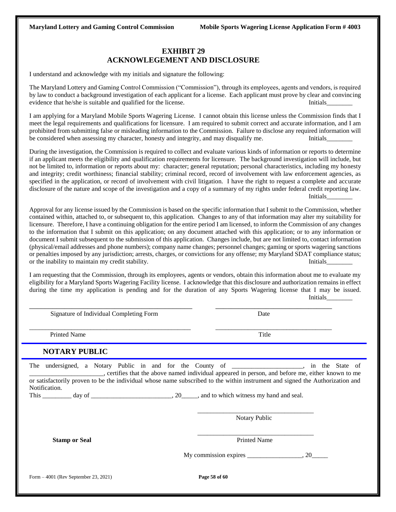### **EXHIBIT 29 ACKNOWLEGEMENT AND DISCLOSURE**

I understand and acknowledge with my initials and signature the following:

The Maryland Lottery and Gaming Control Commission ("Commission"), through its employees, agents and vendors, is required by law to conduct a background investigation of each applicant for a license. Each applicant must prove by clear and convincing evidence that he/she is suitable and qualified for the license. Initials

I am applying for a Maryland Mobile Sports Wagering License. I cannot obtain this license unless the Commission finds that I meet the legal requirements and qualifications for licensure. I am required to submit correct and accurate information, and I am prohibited from submitting false or misleading information to the Commission. Failure to disclose any required information will be considered when assessing my character, honesty and integrity, and may disqualify me. Initials

During the investigation, the Commission is required to collect and evaluate various kinds of information or reports to determine if an applicant meets the eligibility and qualification requirements for licensure. The background investigation will include, but not be limited to, information or reports about my: character; general reputation; personal characteristics, including my honesty and integrity; credit worthiness; financial stability; criminal record, record of involvement with law enforcement agencies, as specified in the application, or record of involvement with civil litigation. I have the right to request a complete and accurate disclosure of the nature and scope of the investigation and a copy of a summary of my rights under federal credit reporting law. Initials\_\_\_\_\_\_\_\_

Approval for any license issued by the Commission is based on the specific information that I submit to the Commission, whether contained within, attached to, or subsequent to, this application. Changes to any of that information may alter my suitability for licensure. Therefore, I have a continuing obligation for the entire period I am licensed, to inform the Commission of any changes to the information that I submit on this application; on any document attached with this application; or to any information or document I submit subsequent to the submission of this application. Changes include, but are not limited to, contact information (physical/email addresses and phone numbers); company name changes; personnel changes; gaming or sports wagering sanctions or penalties imposed by any jurisdiction; arrests, charges, or convictions for any offense; my Maryland SDAT compliance status; or the inability to maintain my credit stability. Initials\_

I am requesting that the Commission, through its employees, agents or vendors, obtain this information about me to evaluate my eligibility for a Maryland Sports Wagering Facility license. I acknowledge that this disclosure and authorization remains in effect during the time my application is pending and for the duration of any Sports Wagering license that I may be issued. Initials\_\_\_\_\_\_\_\_

| Signature of Individual Completing Form                                                                                                                                                                                                                                                                                                                  | Date                                                                                                                        |
|----------------------------------------------------------------------------------------------------------------------------------------------------------------------------------------------------------------------------------------------------------------------------------------------------------------------------------------------------------|-----------------------------------------------------------------------------------------------------------------------------|
| <b>Printed Name</b>                                                                                                                                                                                                                                                                                                                                      | Title                                                                                                                       |
| <b>NOTARY PUBLIC</b>                                                                                                                                                                                                                                                                                                                                     |                                                                                                                             |
| The undersigned, a Notary Public in and for the County of __________________, in the State of<br>or satisfactorily proven to be the individual whose name subscribed to the within instrument and signed the Authorization and<br>Notification.<br>This $\_\_\_\_$ day of $\_\_\_\_\_\_\_\_\_$ , 20 $\_\_\_\_\$ , and to which witness my hand and seal. | _________, certifies that the above named individual appeared in person, and before me, either known to me<br>Notary Public |
| <b>Stamp or Seal</b>                                                                                                                                                                                                                                                                                                                                     | <b>Printed Name</b><br>My commission expires $\frac{\ }{\ }$ , 20 $\frac{\ }{\ }$                                           |
| Form $-4001$ (Rev September 23, 2021)                                                                                                                                                                                                                                                                                                                    | Page 58 of 60                                                                                                               |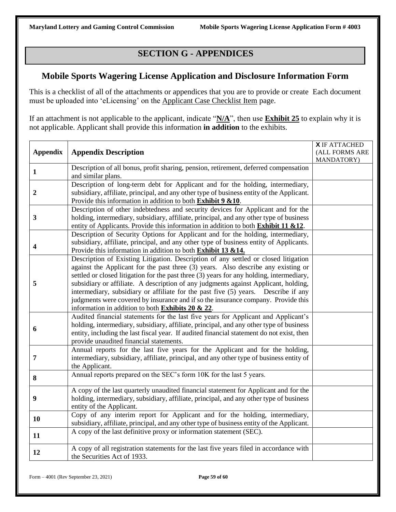## **SECTION G - APPENDICES**

## **Mobile Sports Wagering License Application and Disclosure Information Form**

This is a checklist of all of the attachments or appendices that you are to provide or create Each document must be uploaded into 'eLicensing' on the Applicant Case Checklist Item page.

If an attachment is not applicable to the applicant, indicate "**N/A**", then use **Exhibit 25** to explain why it is not applicable. Applicant shall provide this information **in addition** to the exhibits.

| <b>Appendix</b>  | <b>Appendix Description</b>                                                                                                                                                                                                                                                                                                                                                                                                                                                                                                                                                                 | <b>X IF ATTACHED</b><br>(ALL FORMS ARE |
|------------------|---------------------------------------------------------------------------------------------------------------------------------------------------------------------------------------------------------------------------------------------------------------------------------------------------------------------------------------------------------------------------------------------------------------------------------------------------------------------------------------------------------------------------------------------------------------------------------------------|----------------------------------------|
|                  |                                                                                                                                                                                                                                                                                                                                                                                                                                                                                                                                                                                             | MANDATORY)                             |
| $\mathbf{1}$     | Description of all bonus, profit sharing, pension, retirement, deferred compensation<br>and similar plans.                                                                                                                                                                                                                                                                                                                                                                                                                                                                                  |                                        |
| $\boldsymbol{2}$ | Description of long-term debt for Applicant and for the holding, intermediary,<br>subsidiary, affiliate, principal, and any other type of business entity of the Applicant.<br>Provide this information in addition to both <b>Exhibit 9 &amp; 10</b> .                                                                                                                                                                                                                                                                                                                                     |                                        |
| 3                | Description of other indebtedness and security devices for Applicant and for the<br>holding, intermediary, subsidiary, affiliate, principal, and any other type of business<br>entity of Applicants. Provide this information in addition to both Exhibit 11 &12.                                                                                                                                                                                                                                                                                                                           |                                        |
| 4                | Description of Security Options for Applicant and for the holding, intermediary,<br>subsidiary, affiliate, principal, and any other type of business entity of Applicants.<br>Provide this information in addition to both Exhibit 13 & 14.                                                                                                                                                                                                                                                                                                                                                 |                                        |
| 5                | Description of Existing Litigation. Description of any settled or closed litigation<br>against the Applicant for the past three (3) years. Also describe any existing or<br>settled or closed litigation for the past three (3) years for any holding, intermediary,<br>subsidiary or affiliate. A description of any judgments against Applicant, holding,<br>intermediary, subsidiary or affiliate for the past five (5) years.  Describe if any<br>judgments were covered by insurance and if so the insurance company. Provide this<br>information in addition to both Exhibits 20 & 22 |                                        |
| 6                | Audited financial statements for the last five years for Applicant and Applicant's<br>holding, intermediary, subsidiary, affiliate, principal, and any other type of business<br>entity, including the last fiscal year. If audited financial statement do not exist, then<br>provide unaudited financial statements.                                                                                                                                                                                                                                                                       |                                        |
| 7                | Annual reports for the last five years for the Applicant and for the holding,<br>intermediary, subsidiary, affiliate, principal, and any other type of business entity of<br>the Applicant.                                                                                                                                                                                                                                                                                                                                                                                                 |                                        |
| 8                | Annual reports prepared on the SEC's form 10K for the last 5 years.                                                                                                                                                                                                                                                                                                                                                                                                                                                                                                                         |                                        |
| 9                | A copy of the last quarterly unaudited financial statement for Applicant and for the<br>holding, intermediary, subsidiary, affiliate, principal, and any other type of business<br>entity of the Applicant.                                                                                                                                                                                                                                                                                                                                                                                 |                                        |
| 10               | Copy of any interim report for Applicant and for the holding, intermediary,<br>subsidiary, affiliate, principal, and any other type of business entity of the Applicant.                                                                                                                                                                                                                                                                                                                                                                                                                    |                                        |
| 11               | A copy of the last definitive proxy or information statement (SEC).                                                                                                                                                                                                                                                                                                                                                                                                                                                                                                                         |                                        |
| 12               | A copy of all registration statements for the last five years filed in accordance with<br>the Securities Act of 1933.                                                                                                                                                                                                                                                                                                                                                                                                                                                                       |                                        |

Form – 4001 (Rev September 23, 2021) **Page 59 of 60**